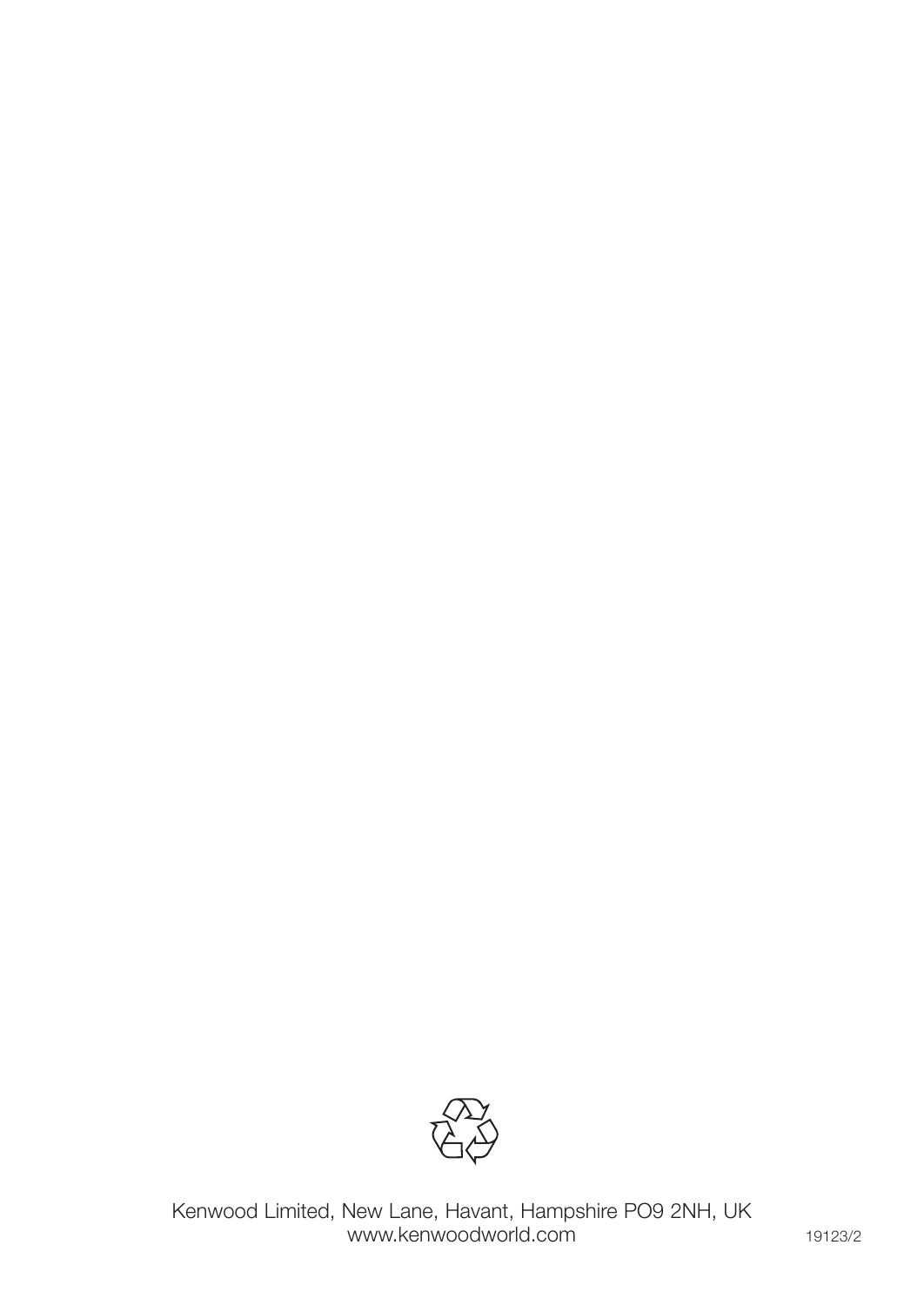

Kenwood Limited, New Lane, Havant, Hampshire PO9 2NH, UK www.kenwoodworld.com and the total state of the 19123/2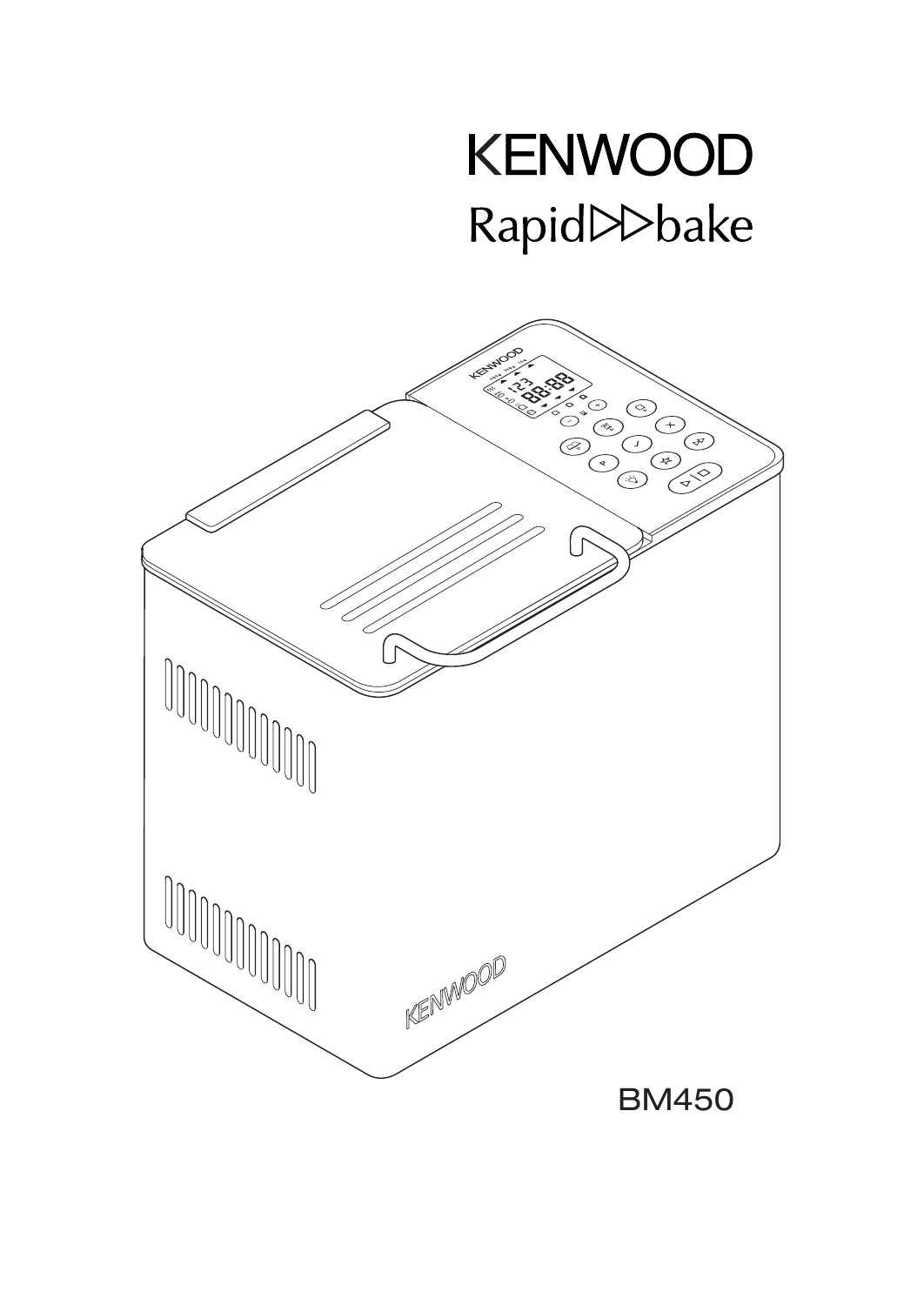# **KENWOOD** Rapid >>bake

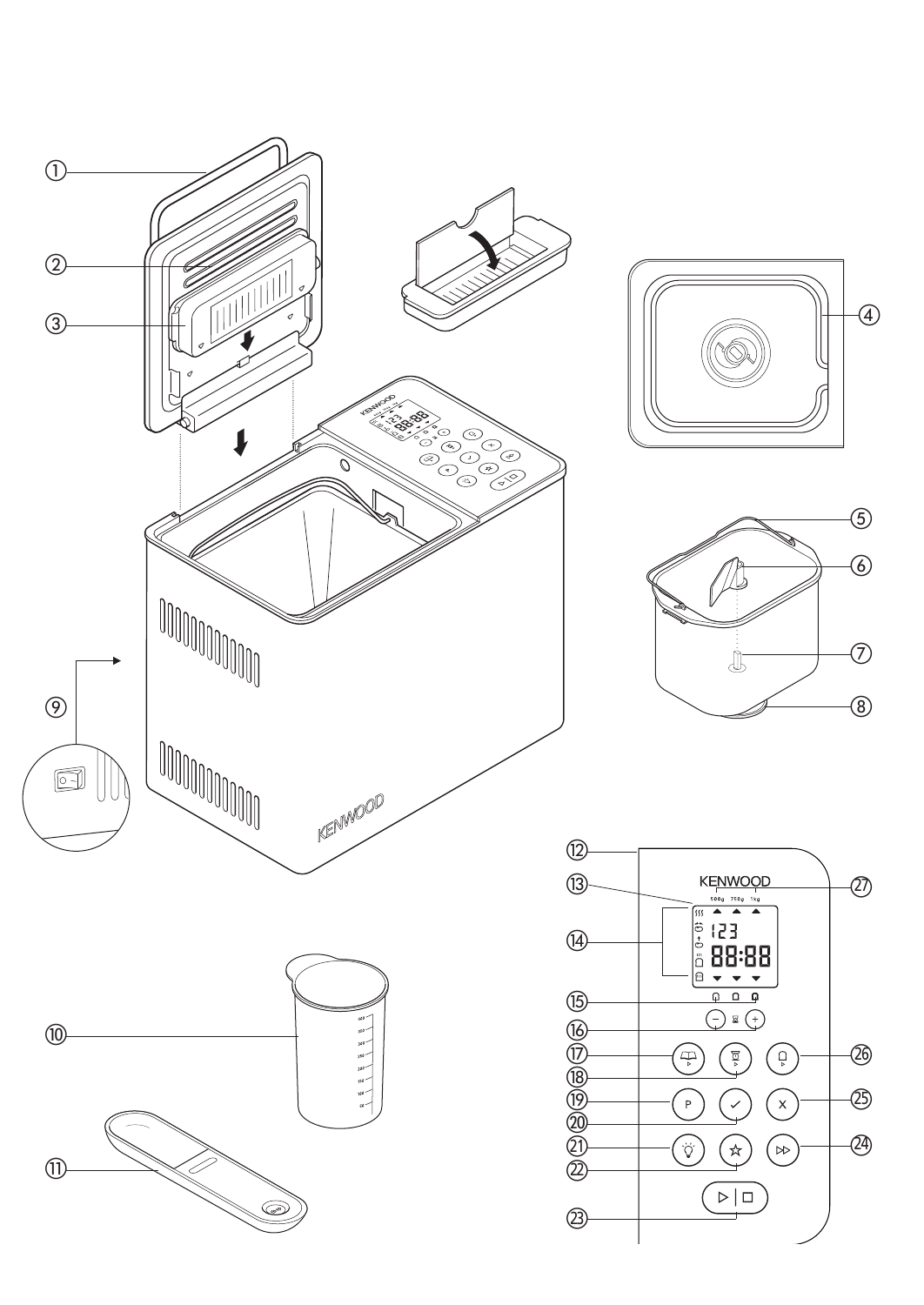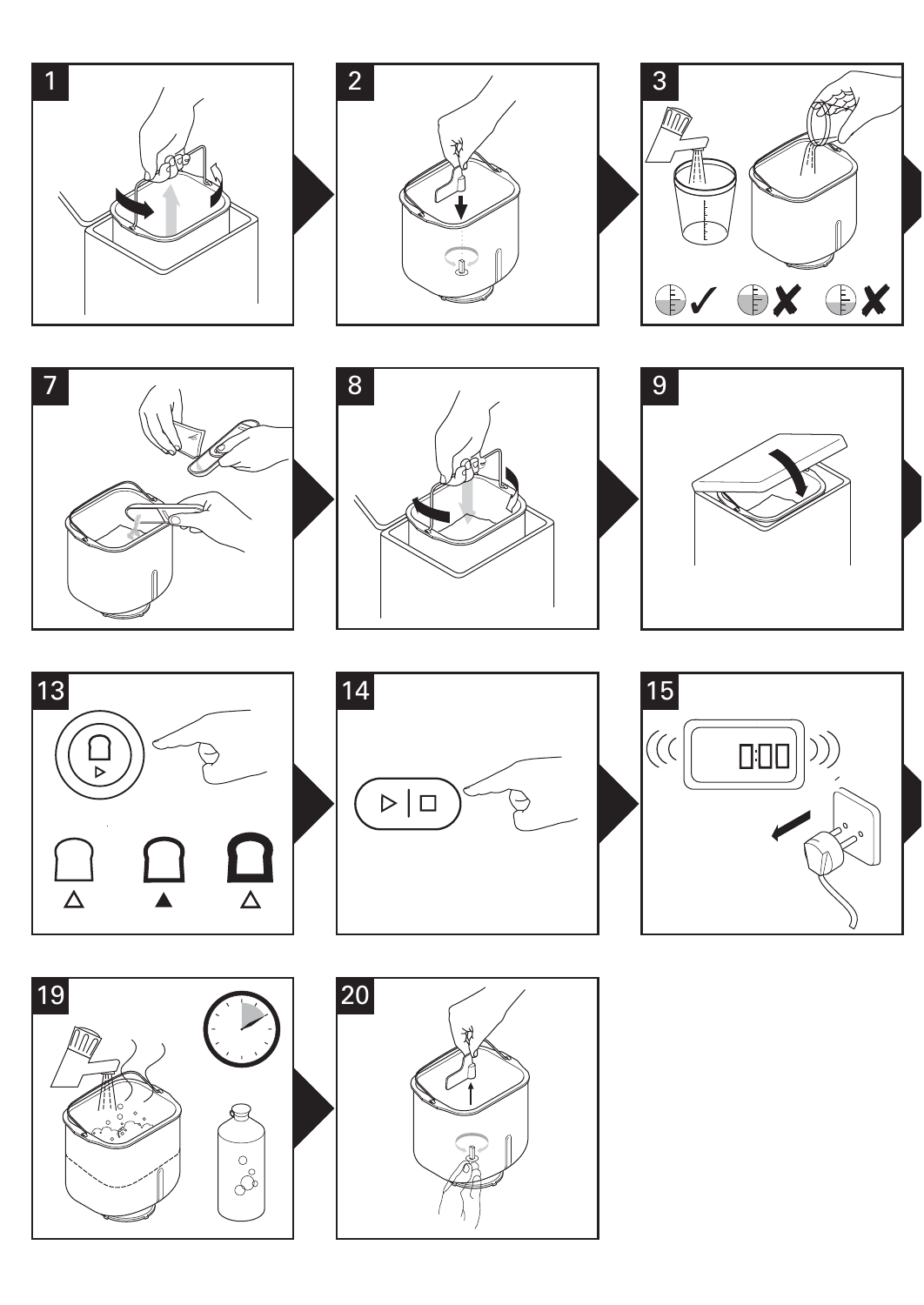



















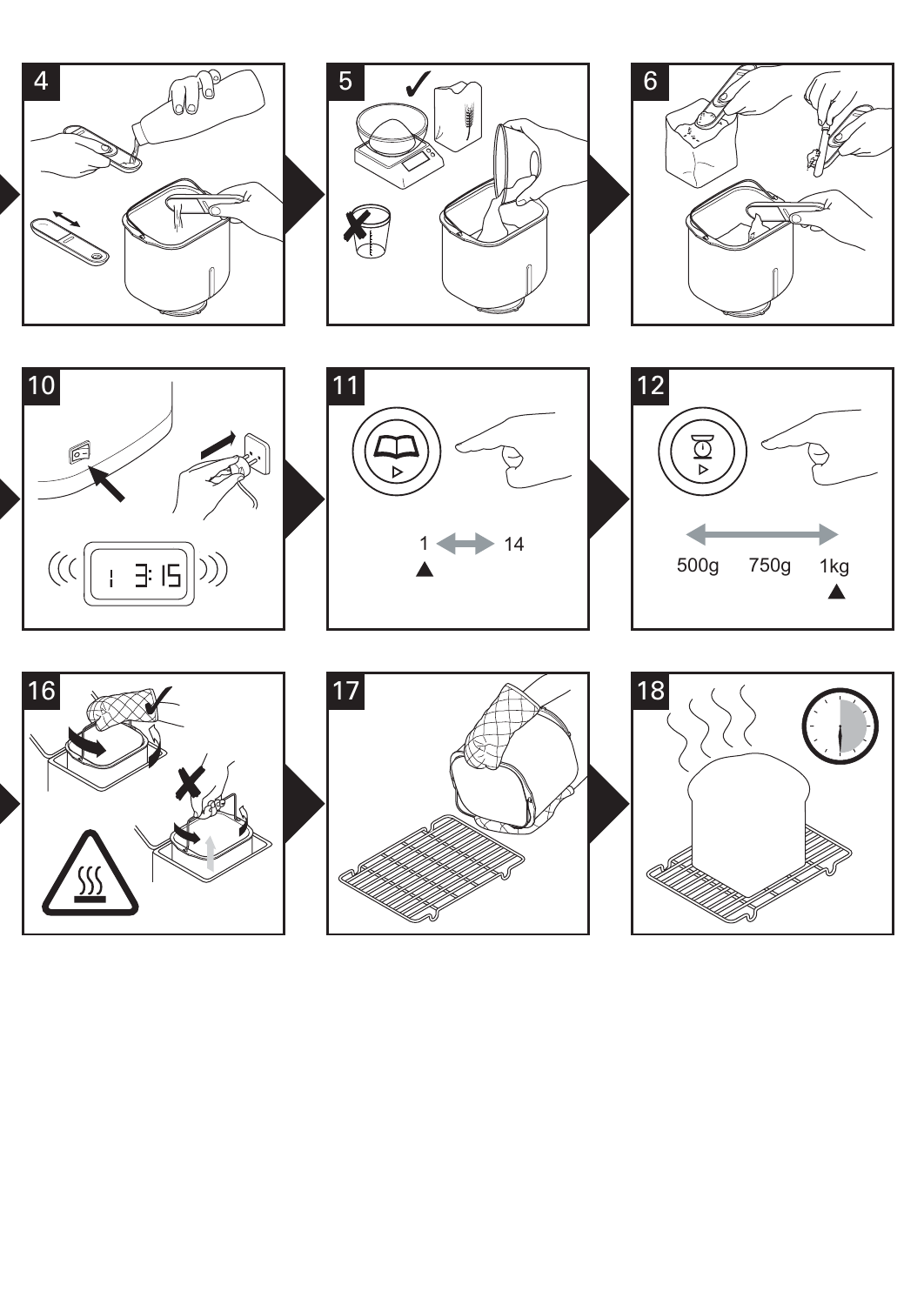















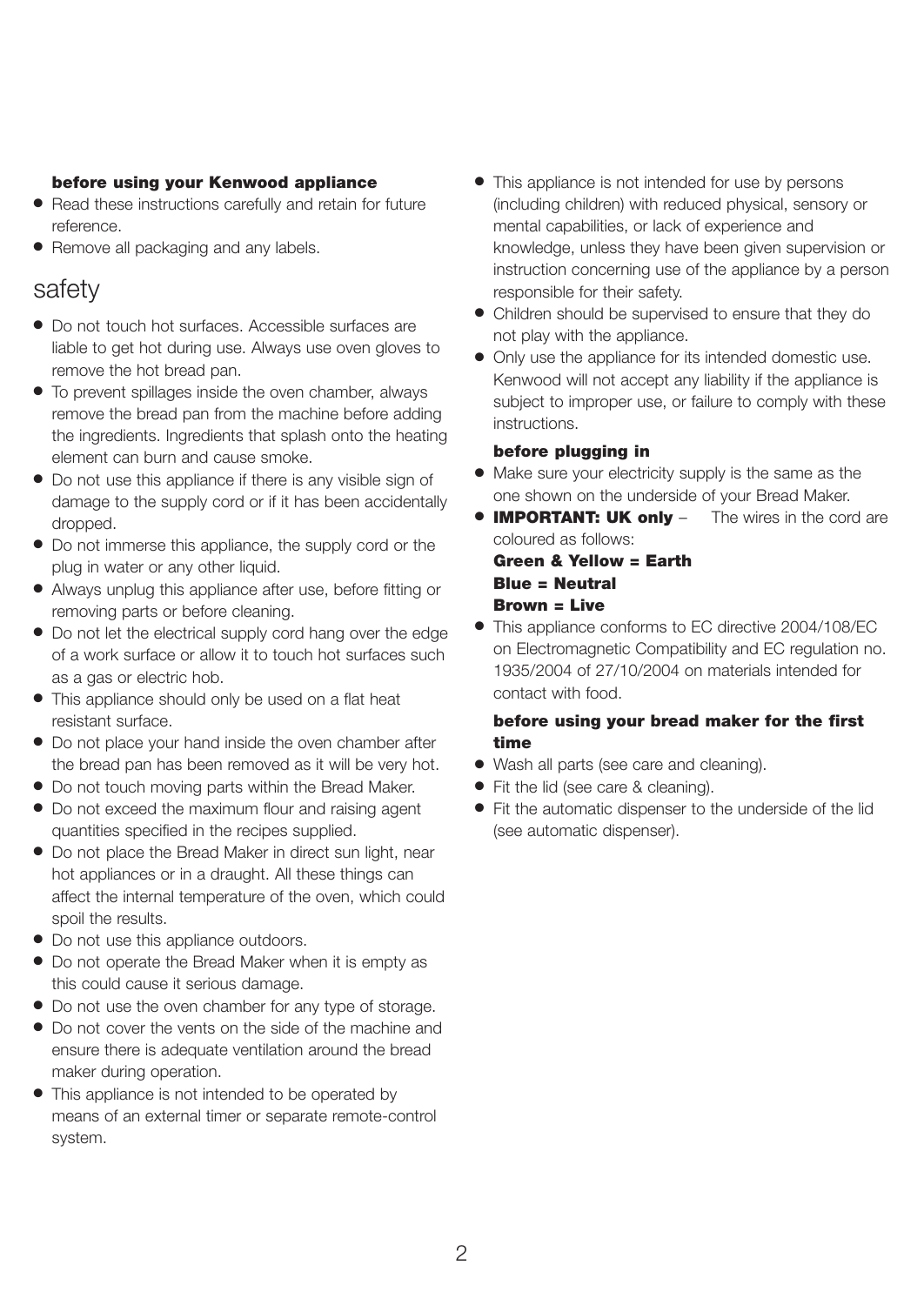#### **before using your Kenwood appliance**

- Read these instructions carefully and retain for future reference.
- Remove all packaging and any labels.

## safety

- Do not touch hot surfaces. Accessible surfaces are liable to get hot during use. Always use oven gloves to remove the hot bread pan.
- To prevent spillages inside the oven chamber, always remove the bread pan from the machine before adding the ingredients. Ingredients that splash onto the heating element can burn and cause smoke.
- Do not use this appliance if there is any visible sign of damage to the supply cord or if it has been accidentally dropped.
- Do not immerse this appliance, the supply cord or the plug in water or any other liquid.
- Always unplug this appliance after use, before fitting or removing parts or before cleaning.
- Do not let the electrical supply cord hang over the edge of a work surface or allow it to touch hot surfaces such as a gas or electric hob.
- This appliance should only be used on a flat heat resistant surface.
- Do not place your hand inside the oven chamber after the bread pan has been removed as it will be very hot.
- Do not touch moving parts within the Bread Maker.
- Do not exceed the maximum flour and raising agent quantities specified in the recipes supplied.
- Do not place the Bread Maker in direct sun light, near hot appliances or in a draught. All these things can affect the internal temperature of the oven, which could spoil the results.
- Do not use this appliance outdoors.
- Do not operate the Bread Maker when it is empty as this could cause it serious damage.
- Do not use the oven chamber for any type of storage.
- Do not cover the vents on the side of the machine and ensure there is adequate ventilation around the bread maker during operation.
- This appliance is not intended to be operated by means of an external timer or separate remote-control system.
- This appliance is not intended for use by persons (including children) with reduced physical, sensory or mental capabilities, or lack of experience and knowledge, unless they have been given supervision or instruction concerning use of the appliance by a person responsible for their safety.
- Children should be supervised to ensure that they do not play with the appliance.
- Only use the appliance for its intended domestic use. Kenwood will not accept any liability if the appliance is subject to improper use, or failure to comply with these instructions.

#### **before plugging in**

- Make sure your electricity supply is the same as the one shown on the underside of your Bread Maker.
- **IMPORTANT: UK only**  The wires in the cord are coloured as follows:

### **Green & Yellow = Earth Blue = Neutral Brown = Live**

● This appliance conforms to EC directive 2004/108/EC on Electromagnetic Compatibility and EC regulation no. 1935/2004 of 27/10/2004 on materials intended for contact with food.

#### **before using your bread maker for the first time**

- Wash all parts (see care and cleaning).
- Fit the lid (see care & cleaning).
- Fit the automatic dispenser to the underside of the lid (see automatic dispenser).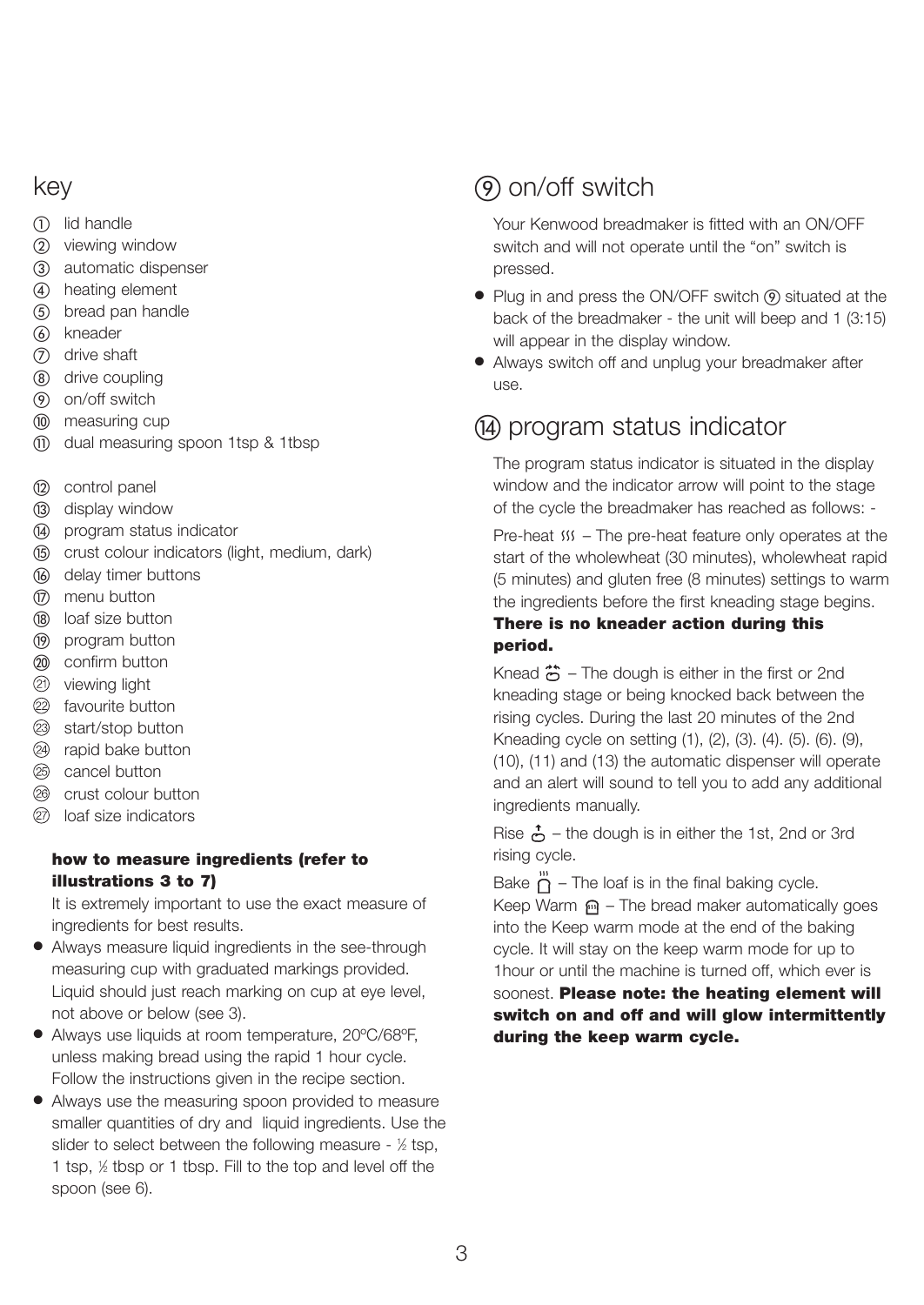## key

- lid handle
- (2) viewing window
- automatic dispenser
- heating element
- bread pan handle
- (6) kneader
- drive shaft
- drive coupling
- on/off switch
- measuring cup
- dual measuring spoon 1tsp & 1tbsp
- (12) control panel
- (i3) display window
- program status indicator
- crust colour indicators (light, medium, dark)
- delay timer buttons
- menu button
- (B) loaf size button
- (iii) program button
- confirm button
- viewing light
- <sup>2</sup> favourite button
- start/stop button
- <sup>2</sup> rapid bake button
- cancel button
- crust colour button
- loaf size indicators

### **how to measure ingredients (refer to illustrations 3 to 7)**

It is extremely important to use the exact measure of ingredients for best results.

- Always measure liquid ingredients in the see-through measuring cup with graduated markings provided. Liquid should just reach marking on cup at eye level, not above or below (see 3).
- Always use liquids at room temperature, 20°C/68°F, unless making bread using the rapid 1 hour cycle. Follow the instructions given in the recipe section.
- Always use the measuring spoon provided to measure smaller quantities of dry and liquid ingredients. Use the slider to select between the following measure - 1/2 tsp, 1 tsp,  $\frac{1}{2}$  tbsp or 1 tbsp. Fill to the top and level off the spoon (see 6).

## on/off switch

Your Kenwood breadmaker is fitted with an ON/OFF switch and will not operate until the "on" switch is pressed.

- Plug in and press the ON/OFF switch (9) situated at the back of the breadmaker - the unit will beep and 1 (3:15) will appear in the display window.
- Always switch off and unplug your breadmaker after use.

## program status indicator

The program status indicator is situated in the display window and the indicator arrow will point to the stage of the cycle the breadmaker has reached as follows: -

Pre-heat  $\frac{MS}{N}$  – The pre-heat feature only operates at the start of the wholewheat (30 minutes), wholewheat rapid (5 minutes) and gluten free (8 minutes) settings to warm the ingredients before the first kneading stage begins.

## **There is no kneader action during this period.**

Knead  $\ddot{\bullet}$  – The dough is either in the first or 2nd kneading stage or being knocked back between the rising cycles. During the last 20 minutes of the 2nd Kneading cycle on setting (1), (2), (3). (4). (5). (6). (9), (10), (11) and (13) the automatic dispenser will operate and an alert will sound to tell you to add any additional ingredients manually.

Rise  $\stackrel{\bullet}{\bullet}$  – the dough is in either the 1st, 2nd or 3rd rising cycle.

Bake  $\ddot{\eta}$  – The loaf is in the final baking cycle. Keep Warm  $\mathbf{m}$  – The bread maker automatically goes into the Keep warm mode at the end of the baking cycle. It will stay on the keep warm mode for up to 1hour or until the machine is turned off, which ever is

soonest. **Please note: the heating element will switch on and off and will glow intermittently during the keep warm cycle.**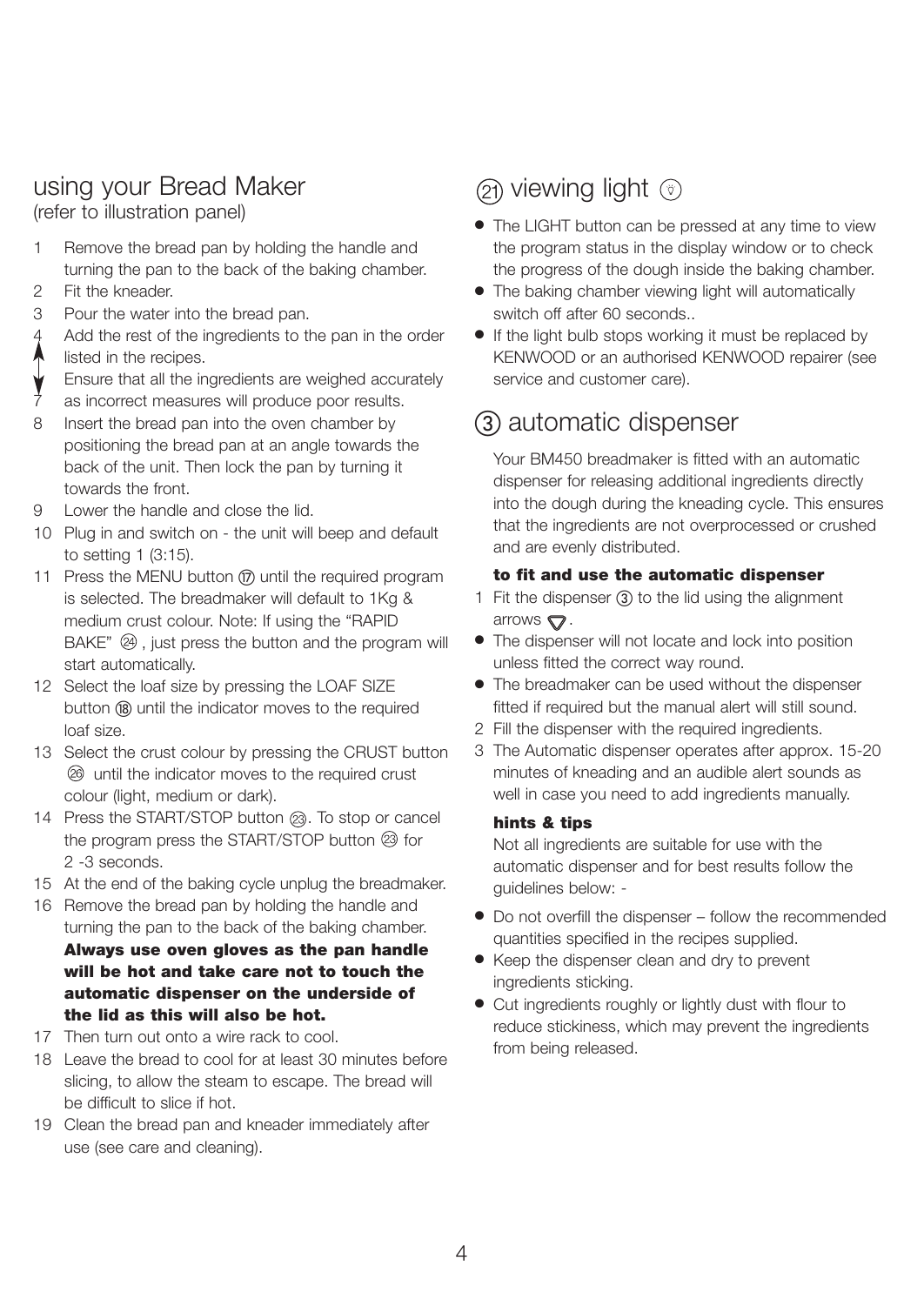## using your Bread Maker

(refer to illustration panel)

- 1 Remove the bread pan by holding the handle and turning the pan to the back of the baking chamber.
- 2 Fit the kneader.
- 3 Pour the water into the bread pan.
- Add the rest of the ingredients to the pan in the order listed in the recipes.
- Ensure that all the ingredients are weighed accurately
- as incorrect measures will produce poor results.
- 8 Insert the bread pan into the oven chamber by positioning the bread pan at an angle towards the back of the unit. Then lock the pan by turning it towards the front.
- 9 Lower the handle and close the lid.
- 10 Plug in and switch on the unit will beep and default to setting 1 (3:15).
- 11 Press the MENU button (n) until the required program is selected. The breadmaker will default to 1Kg & medium crust colour. Note: If using the "RAPID  $BAKE''$   $(2)$ , just press the button and the program will start automatically.
- 12 Select the loaf size by pressing the LOAF SIZE button (B) until the indicator moves to the required loaf size.
- 13 Select the crust colour by pressing the CRUST button until the indicator moves to the required crust colour (light, medium or dark).
- 14 Press the START/STOP button @. To stop or cancel the program press the START/STOP button  $@$  for 2 -3 seconds.
- 15 At the end of the baking cycle unplug the breadmaker.
- 16 Remove the bread pan by holding the handle and turning the pan to the back of the baking chamber. **Always use oven gloves as the pan handle will be hot and take care not to touch the automatic dispenser on the underside of the lid as this will also be hot.**
- 17 Then turn out onto a wire rack to cool.
- 18 Leave the bread to cool for at least 30 minutes before slicing, to allow the steam to escape. The bread will be difficult to slice if hot.
- 19 Clean the bread pan and kneader immediately after use (see care and cleaning).

## $(2)$  viewing light  $(3)$

- The LIGHT button can be pressed at any time to view the program status in the display window or to check the progress of the dough inside the baking chamber.
- The baking chamber viewing light will automatically switch off after 60 seconds..
- If the light bulb stops working it must be replaced by KENWOOD or an authorised KENWOOD repairer (see service and customer care).

## (3) automatic dispenser

Your BM450 breadmaker is fitted with an automatic dispenser for releasing additional ingredients directly into the dough during the kneading cycle. This ensures that the ingredients are not overprocessed or crushed and are evenly distributed.

### **to fit and use the automatic dispenser**

- 1 Fit the dispenser  $(3)$  to the lid using the alignment arrows  $\mathbf{\nabla}$ .
- The dispenser will not locate and lock into position unless fitted the correct way round.
- The breadmaker can be used without the dispenser fitted if required but the manual alert will still sound.
- 2 Fill the dispenser with the required ingredients.
- 3 The Automatic dispenser operates after approx. 15-20 minutes of kneading and an audible alert sounds as well in case you need to add ingredients manually.

#### **hints & tips**

Not all ingredients are suitable for use with the automatic dispenser and for best results follow the guidelines below: -

- Do not overfill the dispenser follow the recommended quantities specified in the recipes supplied.
- Keep the dispenser clean and dry to prevent ingredients sticking.
- Cut ingredients roughly or lightly dust with flour to reduce stickiness, which may prevent the ingredients from being released.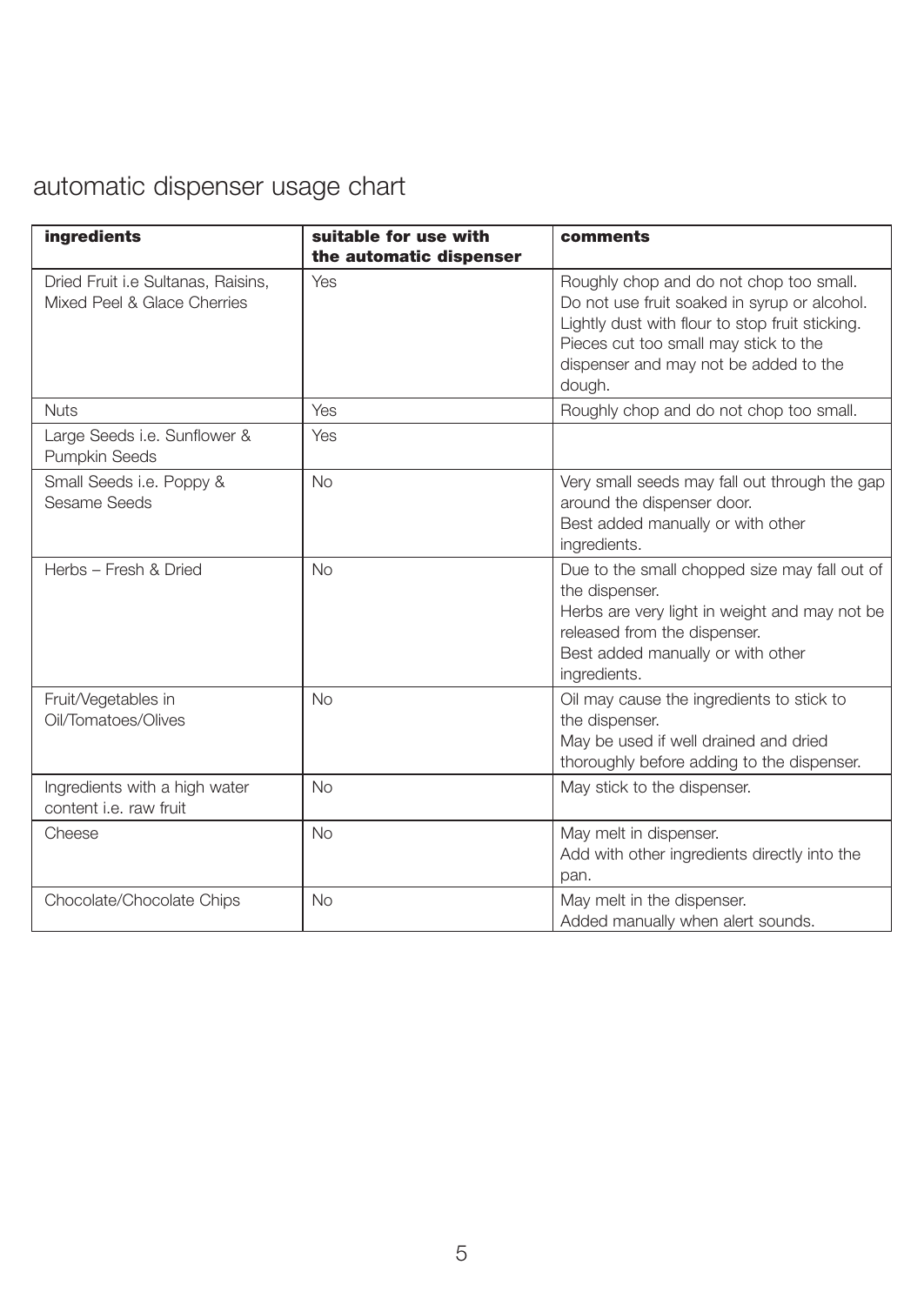## automatic dispenser usage chart

| ingredients                                                       | suitable for use with<br>the automatic dispenser | comments                                                                                                                                                                                                                               |
|-------------------------------------------------------------------|--------------------------------------------------|----------------------------------------------------------------------------------------------------------------------------------------------------------------------------------------------------------------------------------------|
| Dried Fruit i.e Sultanas, Raisins,<br>Mixed Peel & Glace Cherries | Yes                                              | Roughly chop and do not chop too small.<br>Do not use fruit soaked in syrup or alcohol.<br>Lightly dust with flour to stop fruit sticking.<br>Pieces cut too small may stick to the<br>dispenser and may not be added to the<br>dough. |
| <b>Nuts</b>                                                       | Yes                                              | Roughly chop and do not chop too small.                                                                                                                                                                                                |
| Large Seeds i.e. Sunflower &<br>Pumpkin Seeds                     | Yes                                              |                                                                                                                                                                                                                                        |
| Small Seeds i.e. Poppy &<br>Sesame Seeds                          | <b>No</b>                                        | Very small seeds may fall out through the gap<br>around the dispenser door.<br>Best added manually or with other<br>ingredients.                                                                                                       |
| Herbs - Fresh & Dried                                             | <b>No</b>                                        | Due to the small chopped size may fall out of<br>the dispenser.<br>Herbs are very light in weight and may not be<br>released from the dispenser.<br>Best added manually or with other<br>ingredients.                                  |
| Fruit/Vegetables in<br>Oil/Tomatoes/Olives                        | No                                               | Oil may cause the ingredients to stick to<br>the dispenser.<br>May be used if well drained and dried<br>thoroughly before adding to the dispenser.                                                                                     |
| Ingredients with a high water<br>content <i>i.e.</i> raw fruit    | <b>No</b>                                        | May stick to the dispenser.                                                                                                                                                                                                            |
| Cheese                                                            | <b>No</b>                                        | May melt in dispenser.<br>Add with other ingredients directly into the<br>pan.                                                                                                                                                         |
| Chocolate/Chocolate Chips                                         | <b>No</b>                                        | May melt in the dispenser.<br>Added manually when alert sounds.                                                                                                                                                                        |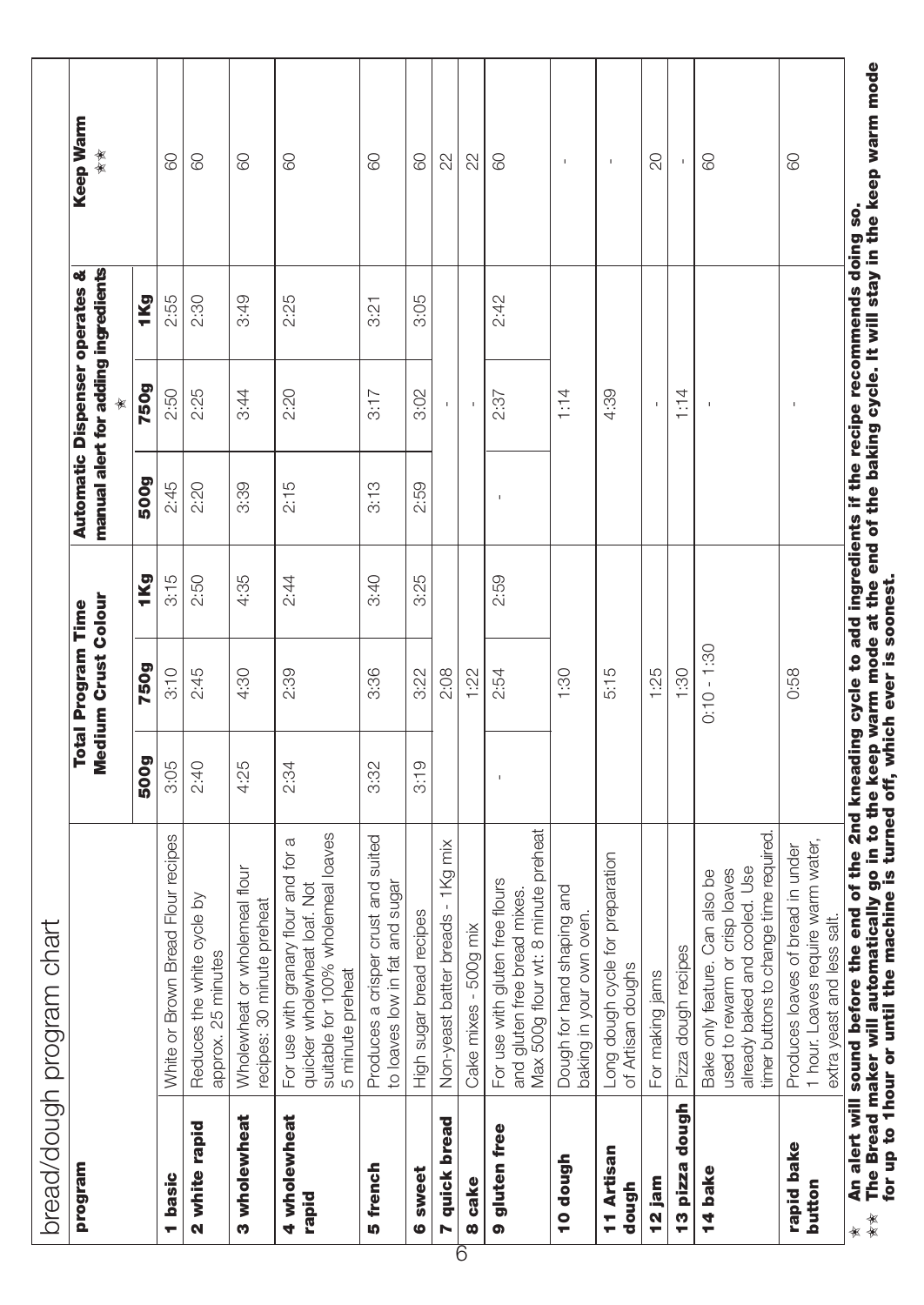| program               |                                                                                                                                                     |      | <b>Total Program Time</b> |      |      | <b>Automatic Dispenser operates &amp;</b> |      | Keep Warm    |  |
|-----------------------|-----------------------------------------------------------------------------------------------------------------------------------------------------|------|---------------------------|------|------|-------------------------------------------|------|--------------|--|
|                       |                                                                                                                                                     |      | Medium Crust Colour       |      |      | manual alert for adding ingredients       |      | 食食           |  |
|                       |                                                                                                                                                     | 500g | <b>750g</b>               | 1Kg  | 500g | <b>750g</b>                               | 1Kg  |              |  |
| basic                 | White or Brown Bread Flour recipes                                                                                                                  | 3:05 | 3:10                      | 3:15 | 2:45 | 2:50                                      | 2:55 | 8            |  |
| 2 white rapid         | Reduces the white cycle by<br>approx. 25 minutes                                                                                                    | 2:40 | 2:45                      | 2:50 | 2:20 | 2:25                                      | 2:30 | 80           |  |
| 3 wholewheat          | Wholewheat or wholemeal flour<br>recipes: 30 minute preheat                                                                                         | 4:25 | 4:30                      | 4:35 | 3:39 | 3:44                                      | 3:49 | 8            |  |
| 4 wholewheat<br>rapid | suitable for 100% wholemeal loaves<br>For use with granary flour and for a<br>quicker wholewheat loaf. Not<br>5 minute preheat                      | 2:34 | 2:39                      | 2:44 | 2:15 | 2:20                                      | 2:25 | 8            |  |
| 5 french              | Produces a crisper crust and suited<br>to loaves low in fat and sugar                                                                               | 3:32 | 3:36                      | 3:40 | 3:13 | 3:17                                      | 3:21 | 8            |  |
| 6 sweet               | High sugar bread recipes                                                                                                                            | 3:19 | 3:22                      | 3:25 | 2:59 | 3:02                                      | 3:05 | 8            |  |
| 7 quick bread         | Non-yeast batter breads - 1Kg mix                                                                                                                   |      | 2:08                      |      |      | $\mathbf{I}$                              |      | 22           |  |
| 8 cake<br>6           | Cake mixes - 500g mix                                                                                                                               |      | 1:22                      |      |      |                                           |      | 22           |  |
| 9 gluten free         | and gluten free bread mixes.<br>Max 500g flour wt: 8 minute preheat<br>For use with gluten free flours                                              |      | 2:54                      | 2:59 |      | 2:37                                      | 2:42 | 80           |  |
| 10 dough              | Dough for hand shaping and<br>in your own oven<br>baking                                                                                            |      | 1:30                      |      |      | 1:14                                      |      | $\mathbf{I}$ |  |
| 11 Artisan<br>dough   | Long dough cycle for preparation<br>of Artisan doughs                                                                                               |      | 5:15                      |      |      | 4:39                                      |      | f,           |  |
| 12 jam                | For making jams                                                                                                                                     |      | 1:25                      |      |      |                                           |      | 20           |  |
| dough<br>13 pizza     | Pizza dough recipes                                                                                                                                 |      | 1:30                      |      |      | 1:14                                      |      |              |  |
| 14 bak                | uttons to change time required.<br>baked and cooled. Use<br>used to rewarm or crisp loaves<br>Bake only feature. Can also be<br>already<br>timer bu |      | $0:10 - 1:30$             |      |      | $\mathbf{I}$                              |      | 80           |  |
| rapid bake<br>button  | Loaves require warm water<br>es loaves of bread in under<br>extra yeast and less salt.<br>Produce<br>1 hour.                                        |      | 0:58                      |      |      | J.                                        |      | 80           |  |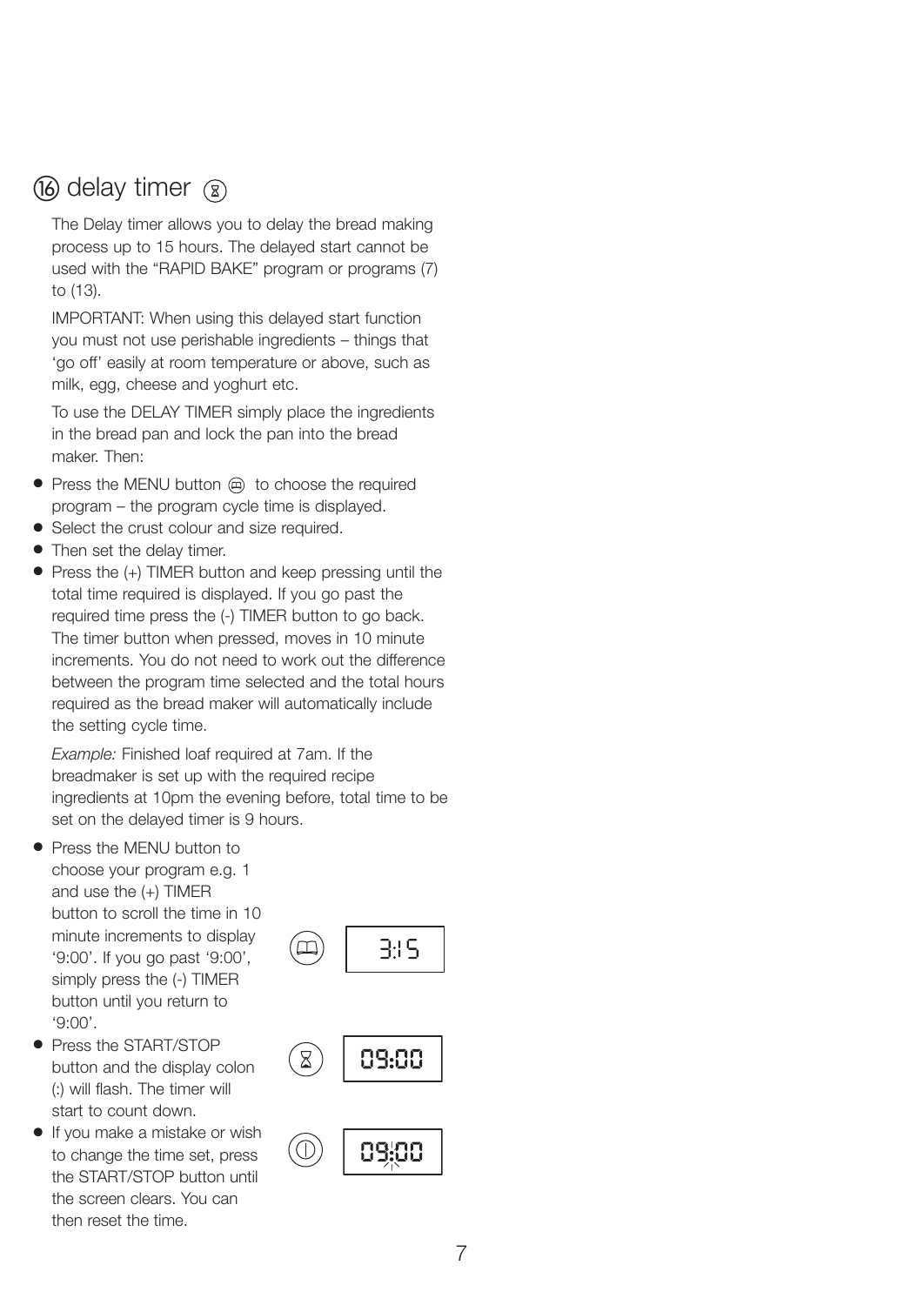## (16) delay timer  $\circledR$

The Delay timer allows you to delay the bread making process up to 15 hours. The delayed start cannot be used with the "RAPID BAKE" program or programs (7) to (13).

IMPORTANT: When using this delayed start function you must not use perishable ingredients – things that 'go off' easily at room temperature or above, such as milk, egg, cheese and yoghurt etc.

To use the DELAY TIMER simply place the ingredients in the bread pan and lock the pan into the bread maker. Then:

- Press the MENU button (a) to choose the required program – the program cycle time is displayed.
- Select the crust colour and size required.
- Then set the delay timer.
- Press the (+) TIMER button and keep pressing until the total time required is displayed. If you go past the required time press the (-) TIMER button to go back. The timer button when pressed, moves in 10 minute increments. You do not need to work out the difference between the program time selected and the total hours required as the bread maker will automatically include the setting cycle time.

*Example:* Finished loaf required at 7am. If the breadmaker is set up with the required recipe ingredients at 10pm the evening before, total time to be set on the delayed timer is 9 hours.

- Press the MENU button to choose your program e.g. 1 and use the (+) TIMER button to scroll the time in 10 minute increments to display '9:00'. If you go past '9:00', simply press the (-) TIMER button until you return to '9:00'.
- Press the START/STOP button and the display colon (:) will flash. The timer will start to count down.
- If you make a mistake or wish to change the time set, press the START/STOP button until the screen clears. You can then reset the time.





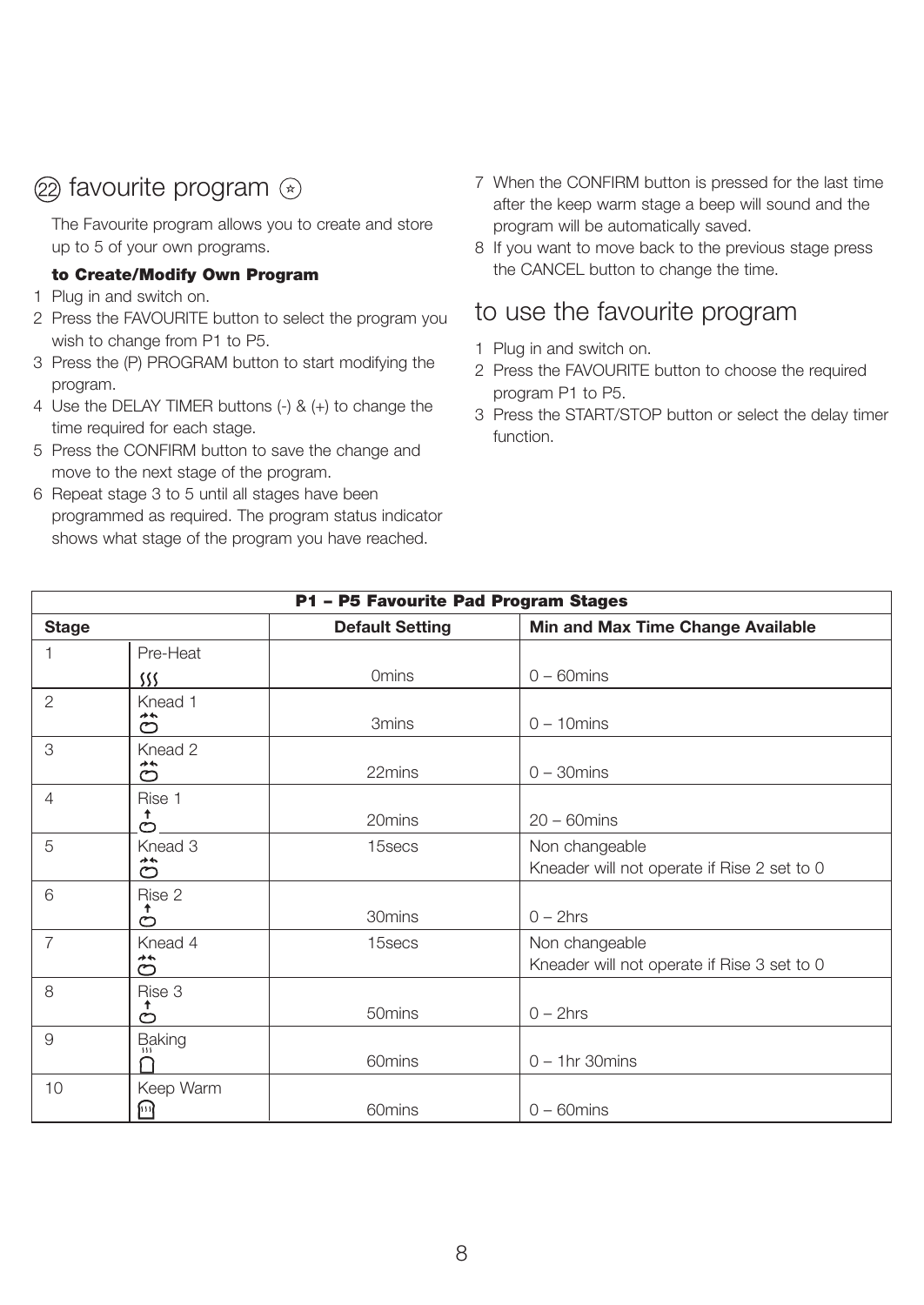## $(2)$  favourite program  $(*)$

The Favourite program allows you to create and store up to 5 of your own programs.

#### **to Create/Modify Own Program**

- 1 Plug in and switch on.
- 2 Press the FAVOURITE button to select the program you wish to change from P1 to P5.
- 3 Press the (P) PROGRAM button to start modifying the program.
- 4 Use the DELAY TIMER buttons (-) & (+) to change the time required for each stage.
- 5 Press the CONFIRM button to save the change and move to the next stage of the program.
- 6 Repeat stage 3 to 5 until all stages have been programmed as required. The program status indicator shows what stage of the program you have reached.
- 7 When the CONFIRM button is pressed for the last time after the keep warm stage a beep will sound and the program will be automatically saved.
- 8 If you want to move back to the previous stage press the CANCEL button to change the time.

## to use the favourite program

- 1 Plug in and switch on.
- 2 Press the FAVOURITE button to choose the required program P1 to P5.
- 3 Press the START/STOP button or select the delay timer function.

|                |                       | P1 - P5 Favourite Pad Program Stages |                                                               |
|----------------|-----------------------|--------------------------------------|---------------------------------------------------------------|
| <b>Stage</b>   |                       | <b>Default Setting</b>               | Min and Max Time Change Available                             |
| 1              | Pre-Heat              |                                      |                                                               |
|                | SSS                   | Omins                                | $0 - 60$ mins                                                 |
| $\overline{2}$ | Knead 1<br>$+ +$<br>℺ | 3 <sub>mins</sub>                    | $0 - 10$ mins                                                 |
| 3              | Knead 2<br>**<br>ల    | 22mins                               | $0 - 30$ mins                                                 |
| 4              | Rise 1<br>Ť<br>Ò      | 20mins                               | $20 - 60$ mins                                                |
| 5              | Knead 3<br>≁٭<br>ల    | 15secs                               | Non changeable<br>Kneader will not operate if Rise 2 set to 0 |
| 6              | Rise 2<br>↟<br>℺      | 30mins                               | $0 - 2$ hrs                                                   |
| $\overline{7}$ | Knead 4<br>みや<br>℺    | 15secs                               | Non changeable<br>Kneader will not operate if Rise 3 set to 0 |
| 8              | Rise 3<br>↑<br>℺      | 50 <sub>mins</sub>                   | $0 - 2$ hrs                                                   |
| 9              | Baking                | 60mins                               | $0 - 1$ hr 30 mins                                            |
| 10             | Keep Warm<br>网        | 60mins                               | $0 - 60$ mins                                                 |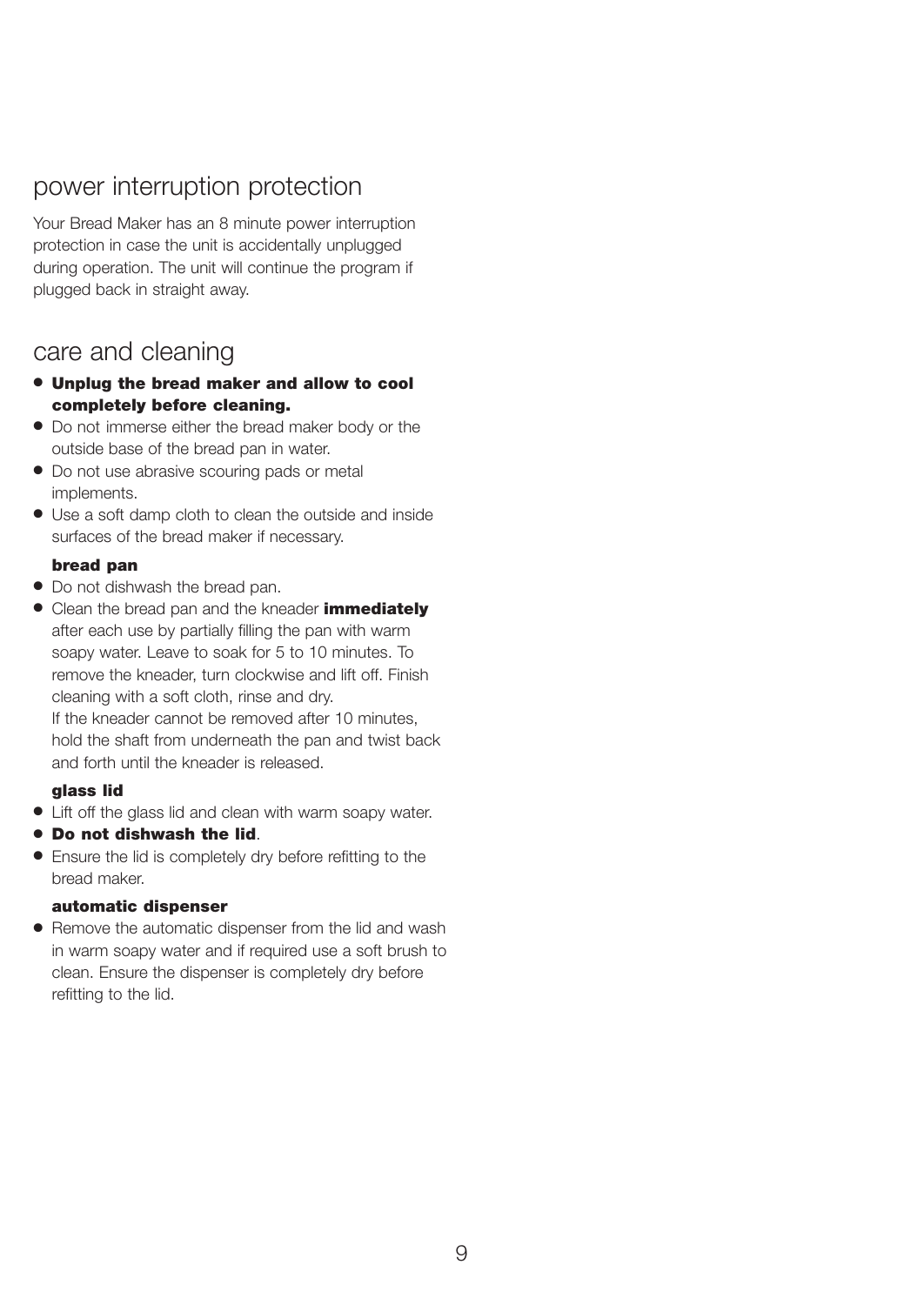## power interruption protection

Your Bread Maker has an 8 minute power interruption protection in case the unit is accidentally unplugged during operation. The unit will continue the program if plugged back in straight away.

## care and cleaning

- **Unplug the bread maker and allow to cool completely before cleaning.**
- Do not immerse either the bread maker body or the outside base of the bread pan in water.
- Do not use abrasive scouring pads or metal implements.
- Use a soft damp cloth to clean the outside and inside surfaces of the bread maker if necessary.

#### **bread pan**

- Do not dishwash the bread pan.
- Clean the bread pan and the kneader **immediately** after each use by partially filling the pan with warm soapy water. Leave to soak for 5 to 10 minutes. To remove the kneader, turn clockwise and lift off. Finish cleaning with a soft cloth, rinse and dry. If the kneader cannot be removed after 10 minutes. hold the shaft from underneath the pan and twist back and forth until the kneader is released.

#### **glass lid**

- Lift off the glass lid and clean with warm soapy water.
- **Do not dishwash the lid**.
- Ensure the lid is completely dry before refitting to the bread maker.

#### **automatic dispenser**

● Remove the automatic dispenser from the lid and wash in warm soapy water and if required use a soft brush to clean. Ensure the dispenser is completely dry before refitting to the lid.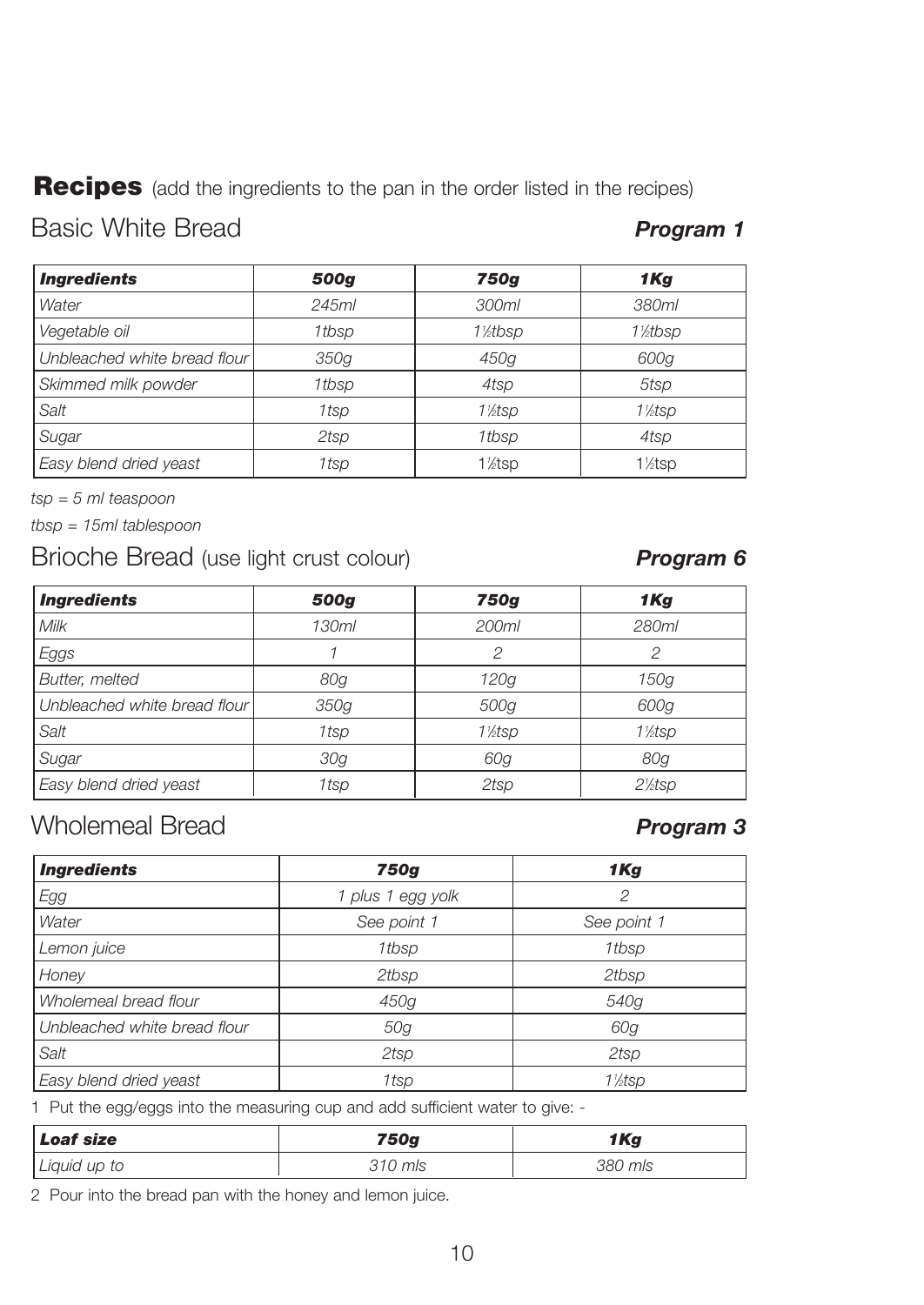**Recipes** (add the ingredients to the pan in the order listed in the recipes)

## Basic White Bread *Program 1*

| <b>Ingredients</b>           | 500g  | <b>750g</b>          | 1Kg                  |
|------------------------------|-------|----------------------|----------------------|
| Water                        | 245ml | 300ml                | 380ml                |
| Vegetable oil                | 1tbsp | 1%tbsp               | 1%tbsp               |
| Unbleached white bread flour | 350g  | 450g                 | 600g                 |
| Skimmed milk powder          | 1tbsp | 4tsp                 | 5tsp                 |
| Salt                         | 1tsp  | 11/ <sub>2</sub> tsp | 11/ <sub>2</sub> tsp |
| Sugar                        | 2tsp  | 1tbsp                | 4tsp                 |
| Easy blend dried yeast       | 1tsp  | 1%tsp                | 1 <sup>/2</sup> tsp  |

*tsp = 5 ml teaspoon*

*tbsp = 15ml tablespoon*

## Brioche Bread (use light crust colour) *Program 6*

| <b>Ingredients</b>           | 500g  | 750g                 | 1Kg                  |
|------------------------------|-------|----------------------|----------------------|
| Milk                         | 130ml | 200ml                | 280ml                |
| Eggs                         |       | 2                    | 2                    |
| Butter, melted               | 80g   | 120g                 | 150g                 |
| Unbleached white bread flour | 350g  | 500g                 | 600g                 |
| Salt                         | 1tsp  | 11/ <sub>2</sub> tsp | 1\/ <sub>2</sub> tsp |
| Sugar                        | 30g   | 60g                  | 80g                  |
| Easy blend dried yeast       | 1tsp  | 2tsp                 | $2\frac{1}{2}$ sp    |

## Wholemeal Bread *Program 3*

| <b>Ingredients</b>           | 750g              | 1Kg         |
|------------------------------|-------------------|-------------|
| Egg                          | 1 plus 1 egg yolk | 2           |
| Water                        | See point 1       | See point 1 |
| Lemon juice                  | 1tbsp             | 1tbsp       |
| Honey                        | 2tbsp             | 2tbsp       |
| Wholemeal bread flour        | 450g              | 540g        |
| Unbleached white bread flour | 50g               | 60g         |
| Salt                         | 2tsp              | 2tsp        |
| Easy blend dried yeast       | 1tsp              | 1½tsp       |

1 Put the egg/eggs into the measuring cup and add sufficient water to give: -

| Loaf size    | 750g    | 1Kg     |
|--------------|---------|---------|
| Liquid up to | 310 mls | 380 mls |

2 Pour into the bread pan with the honey and lemon juice.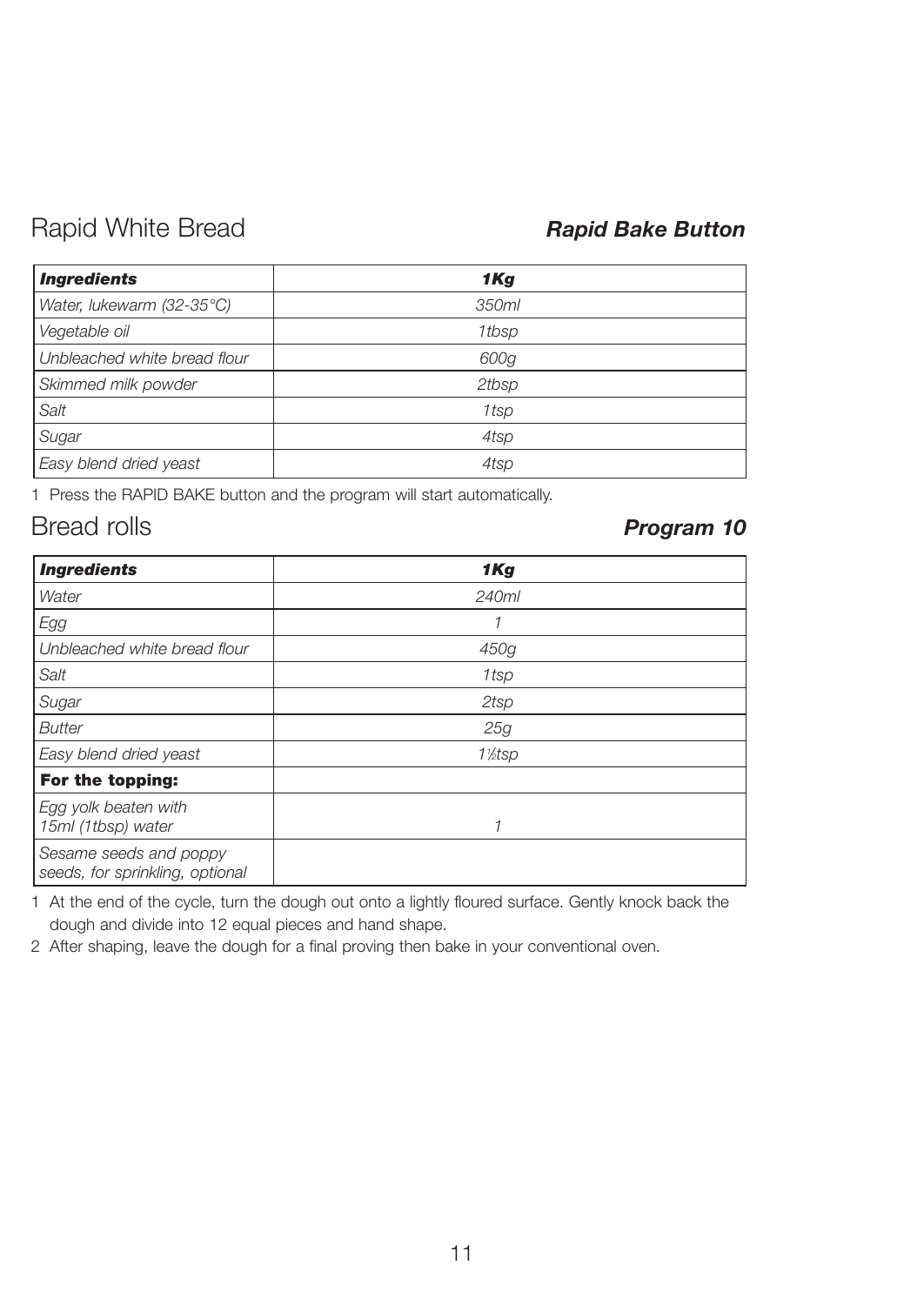## Rapid White Bread *Rapid Bake Button*

| <b>Ingredients</b>           | 1Kg   |
|------------------------------|-------|
| Water, lukewarm (32-35°C)    | 350ml |
| Vegetable oil                | 1tbsp |
| Unbleached white bread flour | 600g  |
| Skimmed milk powder          | 2tbsp |
| Salt                         | 1tsp  |
| Sugar                        | 4tsp  |
| Easy blend dried yeast       | 4tsp  |

1 Press the RAPID BAKE button and the program will start automatically.

## Bread rolls *Program 10*

| <b>Ingredients</b>                                        | 1Kg                  |  |
|-----------------------------------------------------------|----------------------|--|
| Water                                                     | 240ml                |  |
| Egg                                                       | 1                    |  |
| Unbleached white bread flour                              | 450g                 |  |
| Salt                                                      | 1tsp                 |  |
| Sugar                                                     | 2tsp                 |  |
| <b>Butter</b>                                             | 25g                  |  |
| Easy blend dried yeast                                    | 11/ <sub>2</sub> tsp |  |
| For the topping:                                          |                      |  |
| Egg yolk beaten with<br>15ml (1tbsp) water                | 1                    |  |
| Sesame seeds and poppy<br>seeds, for sprinkling, optional |                      |  |

1 At the end of the cycle, turn the dough out onto a lightly floured surface. Gently knock back the dough and divide into 12 equal pieces and hand shape.

2 After shaping, leave the dough for a final proving then bake in your conventional oven.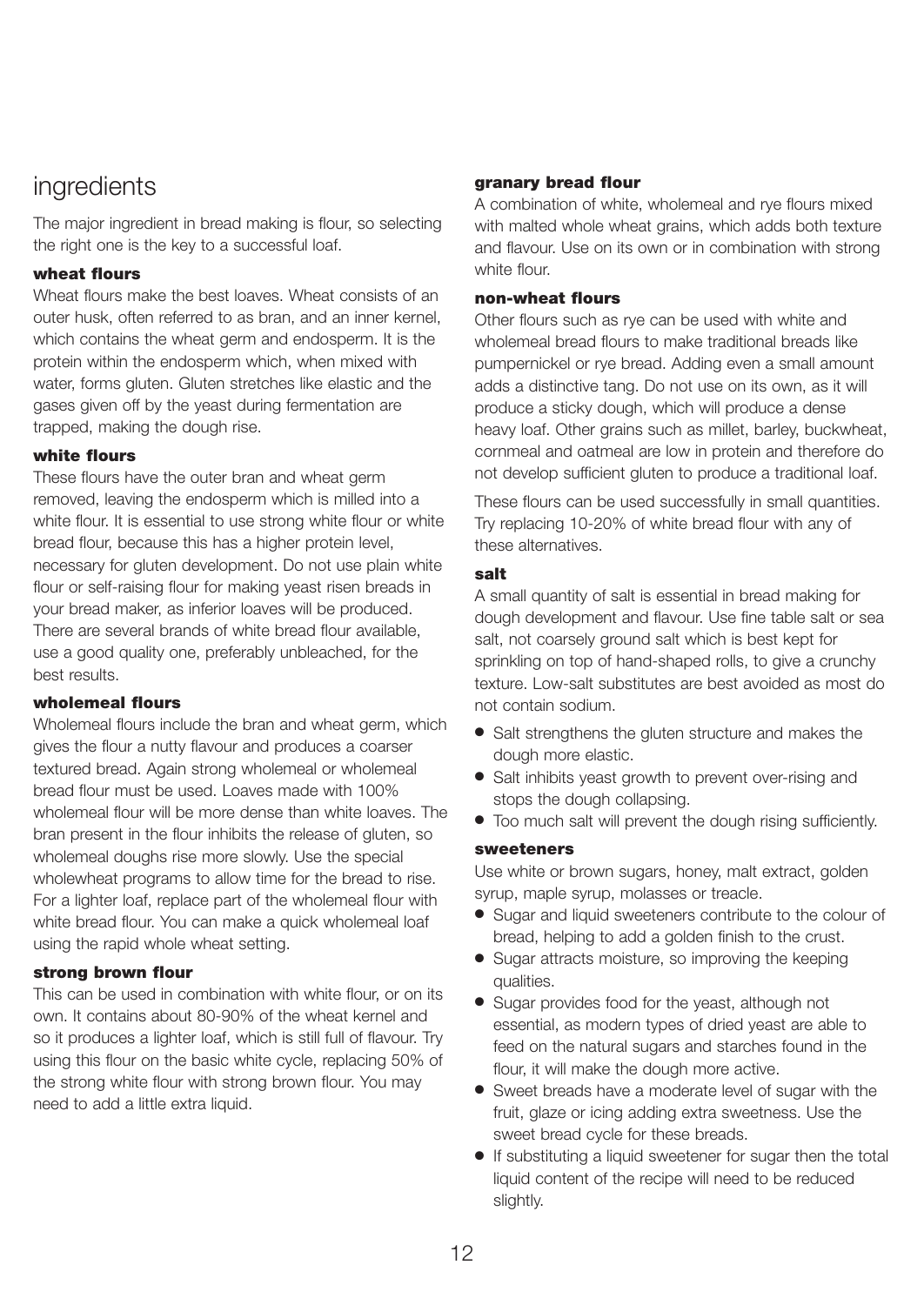## ingredients

The major ingredient in bread making is flour, so selecting the right one is the key to a successful loaf.

#### **wheat flours**

Wheat flours make the best loaves. Wheat consists of an outer husk, often referred to as bran, and an inner kernel, which contains the wheat germ and endosperm. It is the protein within the endosperm which, when mixed with water, forms gluten. Gluten stretches like elastic and the gases given off by the yeast during fermentation are trapped, making the dough rise.

#### **white flours**

These flours have the outer bran and wheat germ removed, leaving the endosperm which is milled into a white flour. It is essential to use strong white flour or white bread flour, because this has a higher protein level, necessary for gluten development. Do not use plain white flour or self-raising flour for making yeast risen breads in your bread maker, as inferior loaves will be produced. There are several brands of white bread flour available, use a good quality one, preferably unbleached, for the best results.

## **wholemeal flours**

Wholemeal flours include the bran and wheat germ, which gives the flour a nutty flavour and produces a coarser textured bread. Again strong wholemeal or wholemeal bread flour must be used. Loaves made with 100% wholemeal flour will be more dense than white loaves. The bran present in the flour inhibits the release of gluten, so wholemeal doughs rise more slowly. Use the special wholewheat programs to allow time for the bread to rise. For a lighter loaf, replace part of the wholemeal flour with white bread flour. You can make a quick wholemeal loaf using the rapid whole wheat setting.

### **strong brown flour**

This can be used in combination with white flour, or on its own. It contains about 80-90% of the wheat kernel and so it produces a lighter loaf, which is still full of flavour. Try using this flour on the basic white cycle, replacing 50% of the strong white flour with strong brown flour. You may need to add a little extra liquid.

### **granary bread flour**

A combination of white, wholemeal and rye flours mixed with malted whole wheat grains, which adds both texture and flavour. Use on its own or in combination with strong white flour.

### **non-wheat flours**

Other flours such as rye can be used with white and wholemeal bread flours to make traditional breads like pumpernickel or rye bread. Adding even a small amount adds a distinctive tang. Do not use on its own, as it will produce a sticky dough, which will produce a dense heavy loaf. Other grains such as millet, barley, buckwheat, cornmeal and oatmeal are low in protein and therefore do not develop sufficient gluten to produce a traditional loaf.

These flours can be used successfully in small quantities. Try replacing 10-20% of white bread flour with any of these alternatives.

### **salt**

A small quantity of salt is essential in bread making for dough development and flavour. Use fine table salt or sea salt, not coarsely ground salt which is best kept for sprinkling on top of hand-shaped rolls, to give a crunchy texture. Low-salt substitutes are best avoided as most do not contain sodium.

- Salt strengthens the gluten structure and makes the dough more elastic.
- Salt inhibits yeast growth to prevent over-rising and stops the dough collapsing.
- Too much salt will prevent the dough rising sufficiently.

#### **sweeteners**

Use white or brown sugars, honey, malt extract, golden syrup, maple syrup, molasses or treacle.

- Sugar and liquid sweeteners contribute to the colour of bread, helping to add a golden finish to the crust.
- Sugar attracts moisture, so improving the keeping qualities.
- Sugar provides food for the yeast, although not essential, as modern types of dried yeast are able to feed on the natural sugars and starches found in the flour, it will make the dough more active.
- Sweet breads have a moderate level of sugar with the fruit, glaze or icing adding extra sweetness. Use the sweet bread cycle for these breads.
- If substituting a liquid sweetener for sugar then the total liquid content of the recipe will need to be reduced slightly.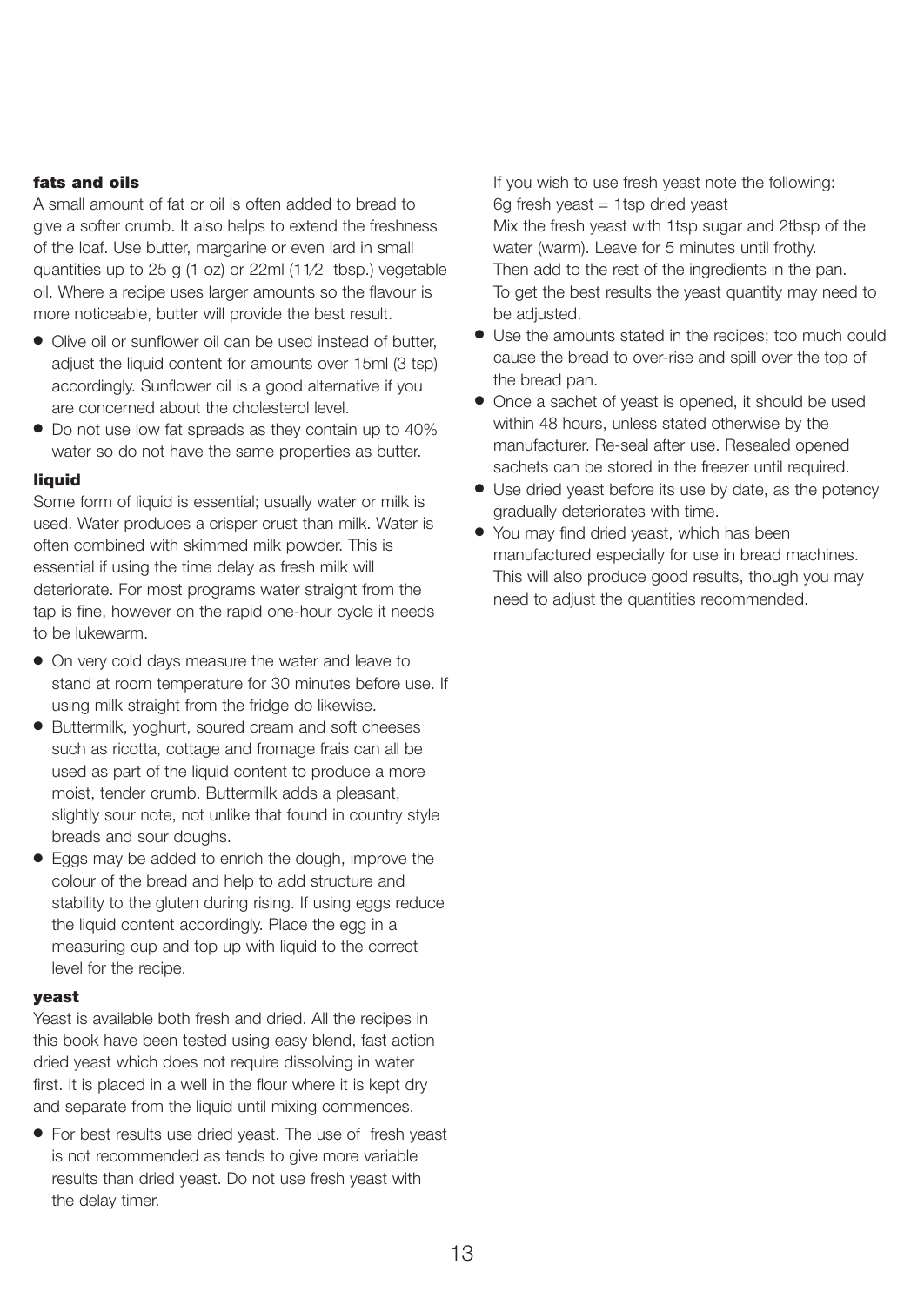#### **fats and oils**

A small amount of fat or oil is often added to bread to give a softer crumb. It also helps to extend the freshness of the loaf. Use butter, margarine or even lard in small quantities up to 25 g (1 oz) or 22ml (11⁄2 tbsp.) vegetable oil. Where a recipe uses larger amounts so the flavour is more noticeable, butter will provide the best result.

- Olive oil or sunflower oil can be used instead of butter, adjust the liquid content for amounts over 15ml (3 tsp) accordingly. Sunflower oil is a good alternative if you are concerned about the cholesterol level.
- Do not use low fat spreads as they contain up to 40% water so do not have the same properties as butter.

#### **liquid**

Some form of liquid is essential; usually water or milk is used. Water produces a crisper crust than milk. Water is often combined with skimmed milk powder. This is essential if using the time delay as fresh milk will deteriorate. For most programs water straight from the tap is fine, however on the rapid one-hour cycle it needs to be lukewarm.

- On very cold days measure the water and leave to stand at room temperature for 30 minutes before use. If using milk straight from the fridge do likewise.
- Buttermilk, yoghurt, soured cream and soft cheeses such as ricotta, cottage and fromage frais can all be used as part of the liquid content to produce a more moist, tender crumb. Buttermilk adds a pleasant, slightly sour note, not unlike that found in country style breads and sour doughs.
- Eggs may be added to enrich the dough, improve the colour of the bread and help to add structure and stability to the gluten during rising. If using eggs reduce the liquid content accordingly. Place the egg in a measuring cup and top up with liquid to the correct level for the recipe.

#### **yeast**

Yeast is available both fresh and dried. All the recipes in this book have been tested using easy blend, fast action dried yeast which does not require dissolving in water first. It is placed in a well in the flour where it is kept dry and separate from the liquid until mixing commences.

● For best results use dried yeast. The use of fresh yeast is not recommended as tends to give more variable results than dried yeast. Do not use fresh yeast with the delay timer.

If you wish to use fresh yeast note the following:  $6g$  fresh yeast = 1tsp dried yeast Mix the fresh yeast with 1tsp sugar and 2tbsp of the water (warm). Leave for 5 minutes until frothy. Then add to the rest of the ingredients in the pan. To get the best results the yeast quantity may need to be adjusted.

- Use the amounts stated in the recipes; too much could cause the bread to over-rise and spill over the top of the bread pan.
- Once a sachet of yeast is opened, it should be used within 48 hours, unless stated otherwise by the manufacturer. Re-seal after use. Resealed opened sachets can be stored in the freezer until required.
- Use dried yeast before its use by date, as the potency gradually deteriorates with time.
- You may find dried yeast, which has been manufactured especially for use in bread machines. This will also produce good results, though you may need to adjust the quantities recommended.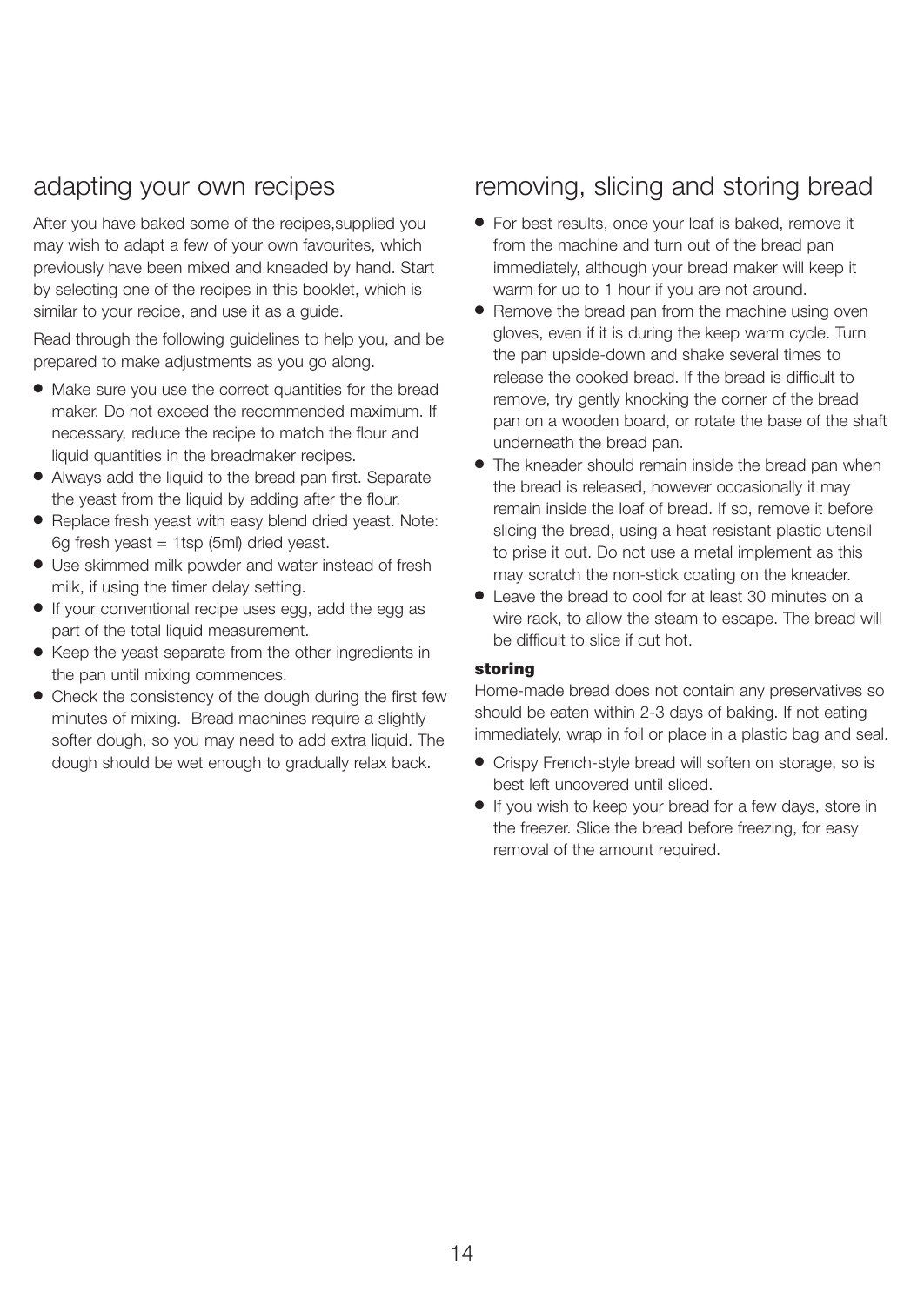## adapting your own recipes

After you have baked some of the recipes,supplied you may wish to adapt a few of your own favourites, which previously have been mixed and kneaded by hand. Start by selecting one of the recipes in this booklet, which is similar to your recipe, and use it as a guide.

Read through the following guidelines to help you, and be prepared to make adjustments as you go along.

- Make sure you use the correct quantities for the bread maker. Do not exceed the recommended maximum. If necessary, reduce the recipe to match the flour and liquid quantities in the breadmaker recipes.
- Always add the liquid to the bread pan first. Separate the yeast from the liquid by adding after the flour.
- Replace fresh yeast with easy blend dried yeast. Note: 6g fresh yeast = 1tsp (5ml) dried yeast.
- Use skimmed milk powder and water instead of fresh milk, if using the timer delay setting.
- If your conventional recipe uses egg, add the egg as part of the total liquid measurement.
- Keep the yeast separate from the other ingredients in the pan until mixing commences.
- Check the consistency of the dough during the first few minutes of mixing. Bread machines require a slightly softer dough, so you may need to add extra liquid. The dough should be wet enough to gradually relax back.

## removing, slicing and storing bread

- For best results, once your loaf is baked, remove it from the machine and turn out of the bread pan immediately, although your bread maker will keep it warm for up to 1 hour if you are not around.
- Remove the bread pan from the machine using oven gloves, even if it is during the keep warm cycle. Turn the pan upside-down and shake several times to release the cooked bread. If the bread is difficult to remove, try gently knocking the corner of the bread pan on a wooden board, or rotate the base of the shaft underneath the bread pan.
- The kneader should remain inside the bread pan when the bread is released, however occasionally it may remain inside the loaf of bread. If so, remove it before slicing the bread, using a heat resistant plastic utensil to prise it out. Do not use a metal implement as this may scratch the non-stick coating on the kneader.
- Leave the bread to cool for at least 30 minutes on a wire rack, to allow the steam to escape. The bread will be difficult to slice if cut hot.

#### **storing**

Home-made bread does not contain any preservatives so should be eaten within 2-3 days of baking. If not eating immediately, wrap in foil or place in a plastic bag and seal.

- Crispy French-style bread will soften on storage, so is best left uncovered until sliced.
- If you wish to keep your bread for a few days, store in the freezer. Slice the bread before freezing, for easy removal of the amount required.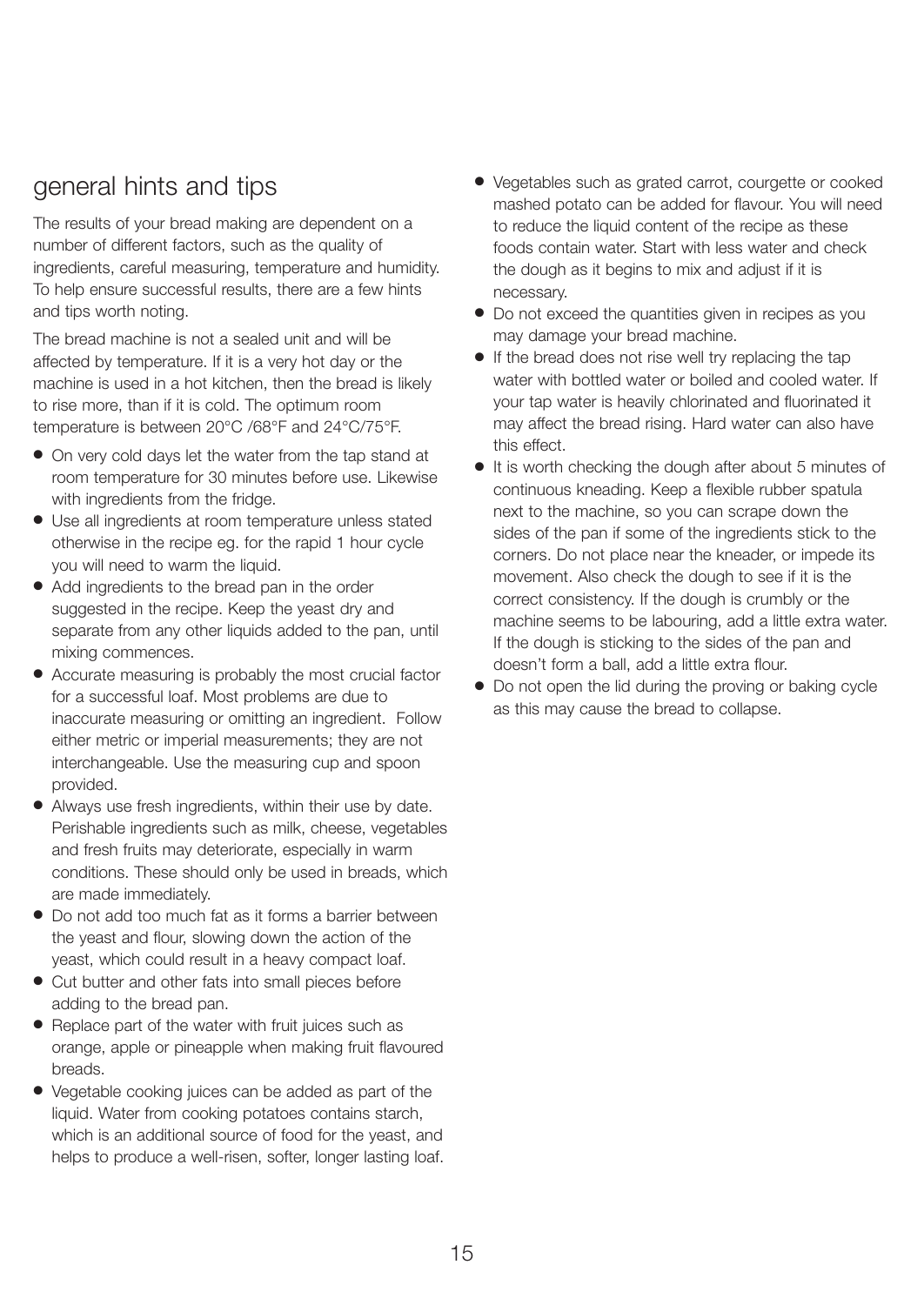## general hints and tips

The results of your bread making are dependent on a number of different factors, such as the quality of ingredients, careful measuring, temperature and humidity. To help ensure successful results, there are a few hints and tips worth noting.

The bread machine is not a sealed unit and will be affected by temperature. If it is a very hot day or the machine is used in a hot kitchen, then the bread is likely to rise more, than if it is cold. The optimum room temperature is between 20°C /68°F and 24°C/75°F.

- On very cold days let the water from the tap stand at room temperature for 30 minutes before use. Likewise with ingredients from the fridge.
- Use all ingredients at room temperature unless stated otherwise in the recipe eg. for the rapid 1 hour cycle you will need to warm the liquid.
- Add ingredients to the bread pan in the order suggested in the recipe. Keep the yeast dry and separate from any other liquids added to the pan, until mixing commences.
- Accurate measuring is probably the most crucial factor for a successful loaf. Most problems are due to inaccurate measuring or omitting an ingredient. Follow either metric or imperial measurements; they are not interchangeable. Use the measuring cup and spoon provided.
- Always use fresh ingredients, within their use by date. Perishable ingredients such as milk, cheese, vegetables and fresh fruits may deteriorate, especially in warm conditions. These should only be used in breads, which are made immediately.
- Do not add too much fat as it forms a barrier between the yeast and flour, slowing down the action of the yeast, which could result in a heavy compact loaf.
- Cut butter and other fats into small pieces before adding to the bread pan.
- Replace part of the water with fruit juices such as orange, apple or pineapple when making fruit flavoured breads.
- Vegetable cooking juices can be added as part of the liquid. Water from cooking potatoes contains starch, which is an additional source of food for the yeast, and helps to produce a well-risen, softer, longer lasting loaf.
- Vegetables such as grated carrot, courgette or cooked mashed potato can be added for flavour. You will need to reduce the liquid content of the recipe as these foods contain water. Start with less water and check the dough as it begins to mix and adjust if it is necessary.
- Do not exceed the quantities given in recipes as you may damage your bread machine.
- If the bread does not rise well try replacing the tap water with bottled water or boiled and cooled water. If your tap water is heavily chlorinated and fluorinated it may affect the bread rising. Hard water can also have this effect.
- It is worth checking the dough after about 5 minutes of continuous kneading. Keep a flexible rubber spatula next to the machine, so you can scrape down the sides of the pan if some of the ingredients stick to the corners. Do not place near the kneader, or impede its movement. Also check the dough to see if it is the correct consistency. If the dough is crumbly or the machine seems to be labouring, add a little extra water. If the dough is sticking to the sides of the pan and doesn't form a ball, add a little extra flour.
- Do not open the lid during the proving or baking cycle as this may cause the bread to collapse.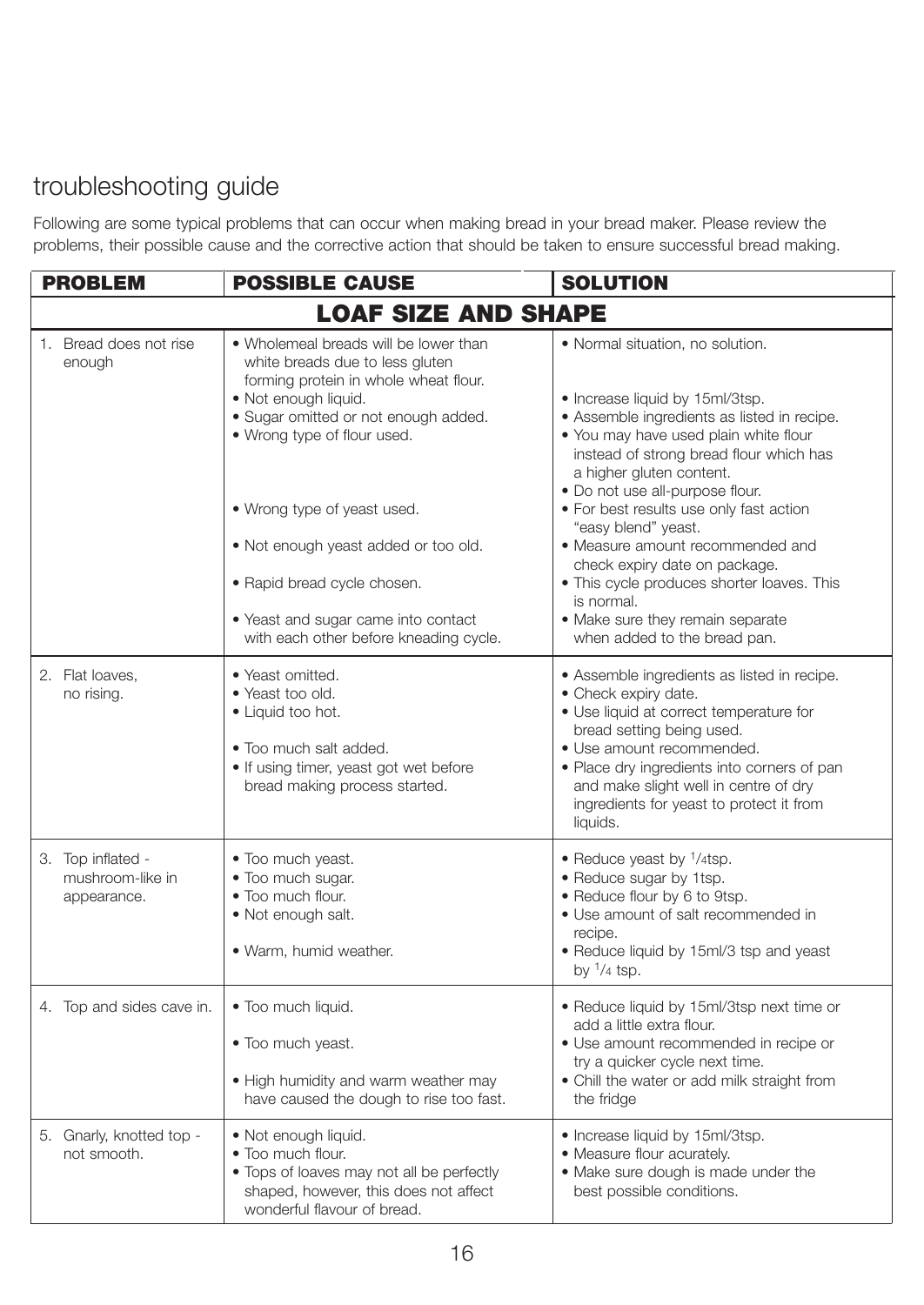## troubleshooting guide

Following are some typical problems that can occur when making bread in your bread maker. Please review the problems, their possible cause and the corrective action that should be taken to ensure successful bread making.

| <b>PROBLEM</b>                                       | <b>POSSIBLE CAUSE</b>                                                                                                                                                                                                                                                                                                                                                                                   | <b>SOLUTION</b>                                                                                                                                                                                                                                                                                                                                                                                                                                                                                                                              |
|------------------------------------------------------|---------------------------------------------------------------------------------------------------------------------------------------------------------------------------------------------------------------------------------------------------------------------------------------------------------------------------------------------------------------------------------------------------------|----------------------------------------------------------------------------------------------------------------------------------------------------------------------------------------------------------------------------------------------------------------------------------------------------------------------------------------------------------------------------------------------------------------------------------------------------------------------------------------------------------------------------------------------|
|                                                      | <b>LOAF SIZE AND SHAPE</b>                                                                                                                                                                                                                                                                                                                                                                              |                                                                                                                                                                                                                                                                                                                                                                                                                                                                                                                                              |
| 1. Bread does not rise<br>enough                     | • Wholemeal breads will be lower than<br>white breads due to less gluten<br>forming protein in whole wheat flour.<br>· Not enough liquid.<br>· Sugar omitted or not enough added.<br>• Wrong type of flour used.<br>• Wrong type of yeast used.<br>• Not enough yeast added or too old.<br>• Rapid bread cycle chosen.<br>• Yeast and sugar came into contact<br>with each other before kneading cycle. | · Normal situation, no solution.<br>• Increase liquid by 15ml/3tsp.<br>· Assemble ingredients as listed in recipe.<br>. You may have used plain white flour<br>instead of strong bread flour which has<br>a higher gluten content.<br>. Do not use all-purpose flour.<br>• For best results use only fast action<br>"easy blend" yeast.<br>• Measure amount recommended and<br>check expiry date on package.<br>. This cycle produces shorter loaves. This<br>is normal.<br>· Make sure they remain separate<br>when added to the bread pan. |
| 2. Flat loaves,<br>no rising.                        | • Yeast omitted.<br>• Yeast too old.<br>• Liquid too hot.<br>. Too much salt added.<br>. If using timer, yeast got wet before<br>bread making process started.                                                                                                                                                                                                                                          | • Assemble ingredients as listed in recipe.<br>• Check expiry date.<br>· Use liquid at correct temperature for<br>bread setting being used.<br>· Use amount recommended.<br>· Place dry ingredients into corners of pan<br>and make slight well in centre of dry<br>ingredients for yeast to protect it from<br>liquids.                                                                                                                                                                                                                     |
| 3. Top inflated -<br>mushroom-like in<br>appearance. | • Too much yeast.<br>. Too much sugar.<br>. Too much flour.<br>· Not enough salt.<br>. Warm, humid weather.                                                                                                                                                                                                                                                                                             | • Reduce yeast by $\frac{1}{4}$ tsp.<br>• Reduce sugar by 1tsp.<br>• Reduce flour by 6 to 9tsp.<br>• Use amount of salt recommended in<br>recipe.<br>· Reduce liquid by 15ml/3 tsp and yeast<br>by $\frac{1}{4}$ tsp.                                                                                                                                                                                                                                                                                                                        |
| 4. Top and sides cave in.                            | . Too much liquid.<br>• Too much yeast.<br>. High humidity and warm weather may<br>have caused the dough to rise too fast.                                                                                                                                                                                                                                                                              | · Reduce liquid by 15ml/3tsp next time or<br>add a little extra flour.<br>• Use amount recommended in recipe or<br>try a quicker cycle next time.<br>• Chill the water or add milk straight from<br>the fridge                                                                                                                                                                                                                                                                                                                               |
| 5. Gnarly, knotted top -<br>not smooth.              | • Not enough liquid.<br>• Too much flour.<br>. Tops of loaves may not all be perfectly<br>shaped, however, this does not affect<br>wonderful flavour of bread.                                                                                                                                                                                                                                          | · Increase liquid by 15ml/3tsp.<br>• Measure flour acurately.<br>. Make sure dough is made under the<br>best possible conditions.                                                                                                                                                                                                                                                                                                                                                                                                            |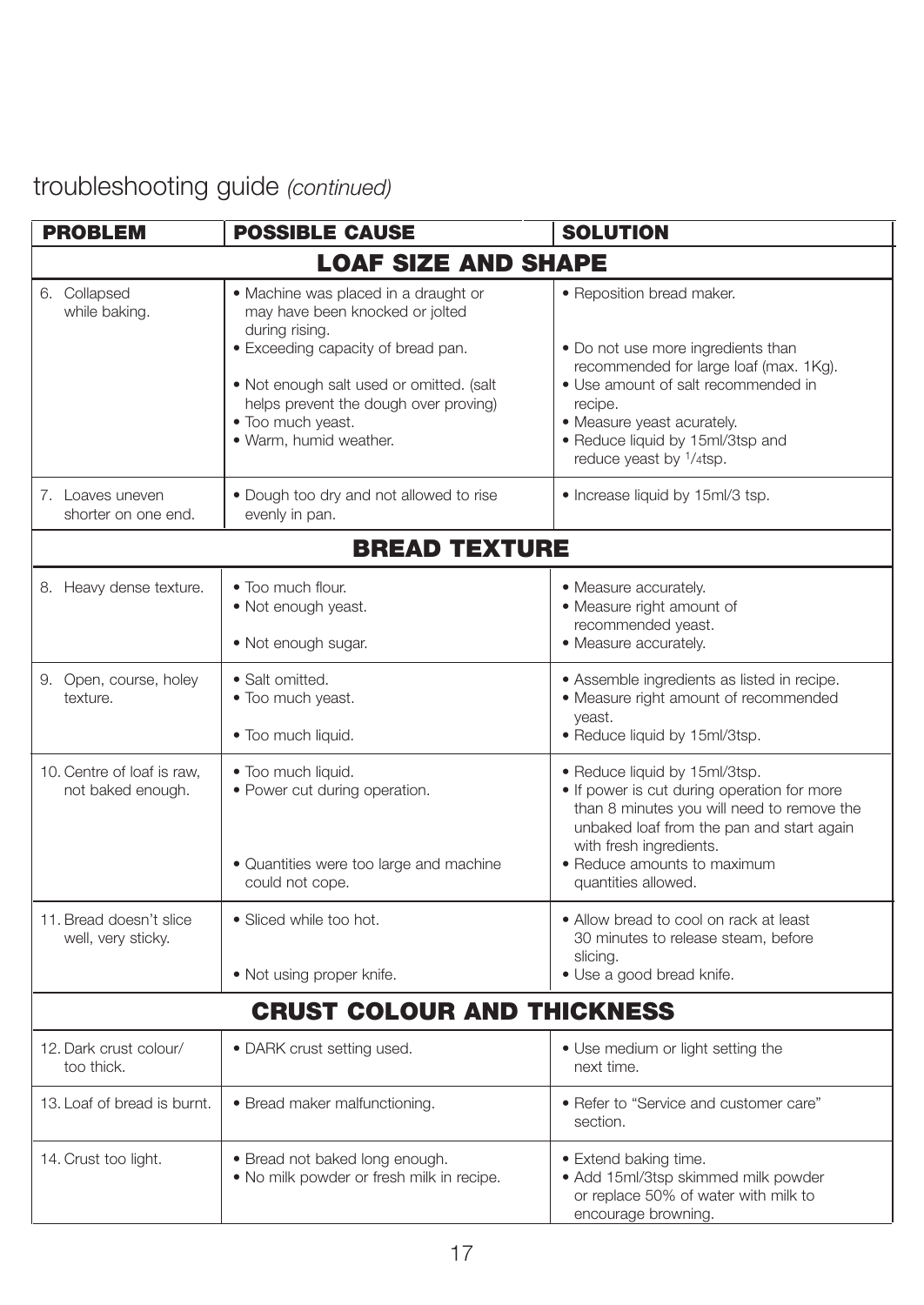## troubleshooting guide *(continued)*

| <b>PROBLEM</b>                                  | <b>POSSIBLE CAUSE</b>                                                                                                                                                                                                                                               | <b>SOLUTION</b>                                                                                                                                                                                                                                                      |
|-------------------------------------------------|---------------------------------------------------------------------------------------------------------------------------------------------------------------------------------------------------------------------------------------------------------------------|----------------------------------------------------------------------------------------------------------------------------------------------------------------------------------------------------------------------------------------------------------------------|
|                                                 | <b>LOAF SIZE AND SHAPE</b>                                                                                                                                                                                                                                          |                                                                                                                                                                                                                                                                      |
| 6. Collapsed<br>while baking.                   | • Machine was placed in a draught or<br>may have been knocked or jolted<br>during rising.<br>· Exceeding capacity of bread pan.<br>. Not enough salt used or omitted. (salt<br>helps prevent the dough over proving)<br>. Too much yeast.<br>· Warm, humid weather. | • Reposition bread maker.<br>. Do not use more ingredients than<br>recommended for large loaf (max. 1Kg).<br>• Use amount of salt recommended in<br>recipe.<br>· Measure yeast acurately.<br>. Reduce liquid by 15ml/3tsp and<br>reduce yeast by <sup>1</sup> /4tsp. |
| 7. Loaves uneven<br>shorter on one end.         | . Dough too dry and not allowed to rise<br>evenly in pan.                                                                                                                                                                                                           | • Increase liquid by 15ml/3 tsp.                                                                                                                                                                                                                                     |
|                                                 | <b>BREAD TEXTURE</b>                                                                                                                                                                                                                                                |                                                                                                                                                                                                                                                                      |
| 8. Heavy dense texture.                         | • Too much flour.<br>. Not enough yeast.<br>· Not enough sugar.                                                                                                                                                                                                     | · Measure accurately.<br>· Measure right amount of<br>recommended yeast.<br>· Measure accurately.                                                                                                                                                                    |
| 9. Open, course, holey<br>texture.              | • Salt omitted.<br>. Too much yeast.<br>· Too much liquid.                                                                                                                                                                                                          | • Assemble ingredients as listed in recipe.<br>· Measure right amount of recommended<br>yeast.<br>· Reduce liquid by 15ml/3tsp.                                                                                                                                      |
| 10. Centre of loaf is raw,<br>not baked enough. | . Too much liquid.<br>• Power cut during operation.<br>· Quantities were too large and machine<br>could not cope.                                                                                                                                                   | · Reduce liquid by 15ml/3tsp.<br>. If power is cut during operation for more<br>than 8 minutes you will need to remove the<br>unbaked loaf from the pan and start again<br>with fresh ingredients.<br>• Reduce amounts to maximum<br>quantities allowed.             |
| 11. Bread doesn't slice<br>well, very sticky.   | • Sliced while too hot.<br>• Not using proper knife.                                                                                                                                                                                                                | • Allow bread to cool on rack at least<br>30 minutes to release steam, before<br>slicing.<br>• Use a good bread knife.                                                                                                                                               |
|                                                 | <b>CRUST COLOUR AND THICKNESS</b>                                                                                                                                                                                                                                   |                                                                                                                                                                                                                                                                      |
| 12. Dark crust colour/<br>too thick.            | • DARK crust setting used.                                                                                                                                                                                                                                          | • Use medium or light setting the<br>next time.                                                                                                                                                                                                                      |
| 13. Loaf of bread is burnt.                     | • Bread maker malfunctioning.                                                                                                                                                                                                                                       | • Refer to "Service and customer care"<br>section.                                                                                                                                                                                                                   |
| 14. Crust too light.                            | · Bread not baked long enough.<br>. No milk powder or fresh milk in recipe.                                                                                                                                                                                         | · Extend baking time.<br>· Add 15ml/3tsp skimmed milk powder<br>or replace 50% of water with milk to<br>encourage browning.                                                                                                                                          |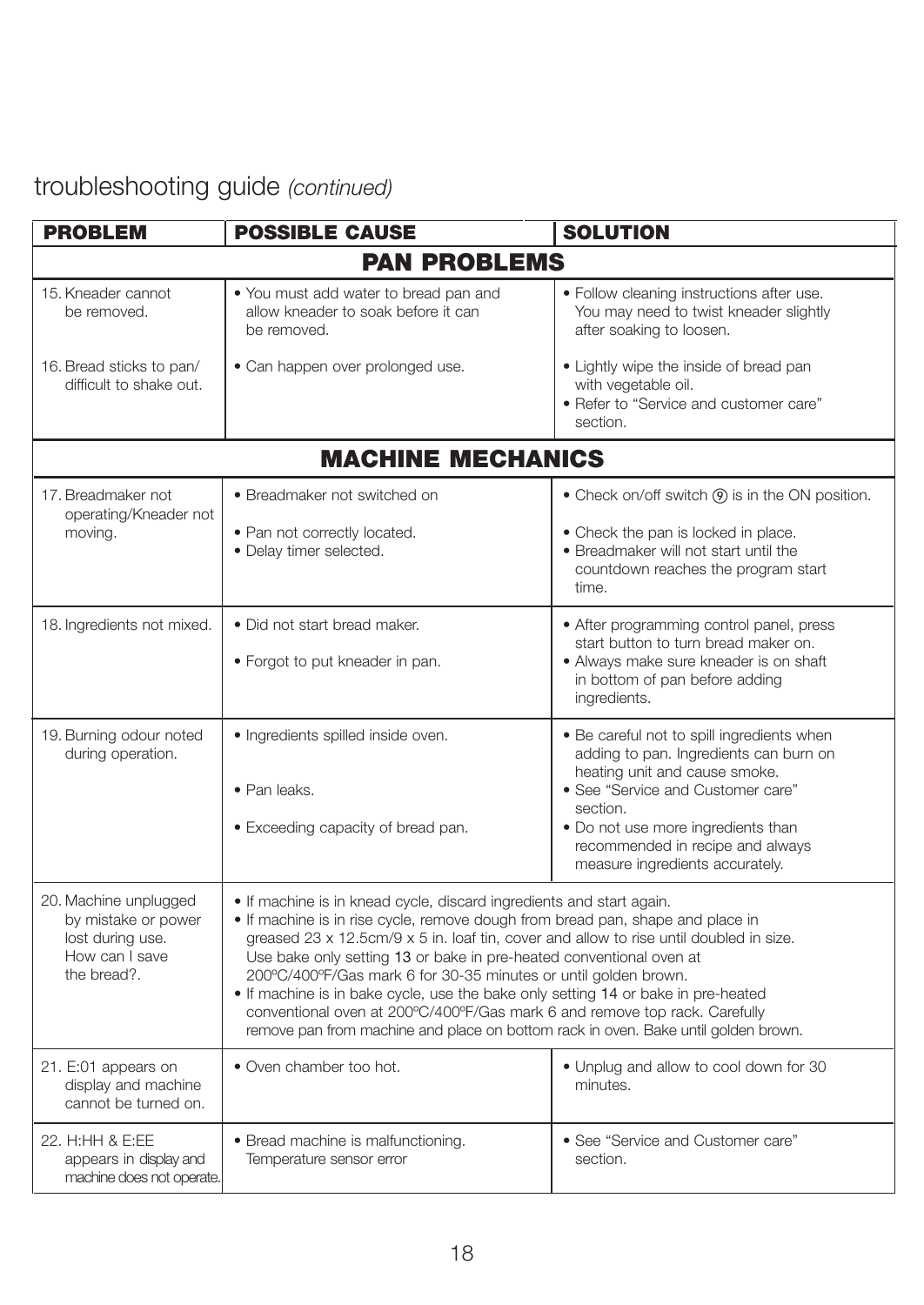## troubleshooting guide *(continued)*

| <b>PROBLEM</b>                                                                                    | <b>POSSIBLE CAUSE</b>                                                                                                                                                                                                                                                                                                                                                                                                                                                                                                                                                                                                                               | <b>SOLUTION</b>                                                                                                                                                                                                                                                                     |
|---------------------------------------------------------------------------------------------------|-----------------------------------------------------------------------------------------------------------------------------------------------------------------------------------------------------------------------------------------------------------------------------------------------------------------------------------------------------------------------------------------------------------------------------------------------------------------------------------------------------------------------------------------------------------------------------------------------------------------------------------------------------|-------------------------------------------------------------------------------------------------------------------------------------------------------------------------------------------------------------------------------------------------------------------------------------|
|                                                                                                   | <b>PAN PROBLEMS</b>                                                                                                                                                                                                                                                                                                                                                                                                                                                                                                                                                                                                                                 |                                                                                                                                                                                                                                                                                     |
| 15. Kneader cannot<br>be removed.                                                                 | . You must add water to bread pan and<br>allow kneader to soak before it can<br>be removed                                                                                                                                                                                                                                                                                                                                                                                                                                                                                                                                                          | • Follow cleaning instructions after use.<br>You may need to twist kneader slightly<br>after soaking to loosen.                                                                                                                                                                     |
| 16. Bread sticks to pan/<br>difficult to shake out.                                               | • Can happen over prolonged use.                                                                                                                                                                                                                                                                                                                                                                                                                                                                                                                                                                                                                    | • Lightly wipe the inside of bread pan<br>with vegetable oil.<br>• Refer to "Service and customer care"<br>section.                                                                                                                                                                 |
|                                                                                                   | <b>MACHINE MECHANICS</b>                                                                                                                                                                                                                                                                                                                                                                                                                                                                                                                                                                                                                            |                                                                                                                                                                                                                                                                                     |
| 17. Breadmaker not                                                                                | • Breadmaker not switched on                                                                                                                                                                                                                                                                                                                                                                                                                                                                                                                                                                                                                        | • Check on/off switch (9) is in the ON position.                                                                                                                                                                                                                                    |
| operating/Kneader not<br>moving.                                                                  | . Pan not correctly located.<br>· Delay timer selected.                                                                                                                                                                                                                                                                                                                                                                                                                                                                                                                                                                                             | • Check the pan is locked in place.<br>• Breadmaker will not start until the<br>countdown reaches the program start<br>time.                                                                                                                                                        |
| 18. Ingredients not mixed.                                                                        | • Did not start bread maker.<br>• Forgot to put kneader in pan.                                                                                                                                                                                                                                                                                                                                                                                                                                                                                                                                                                                     | • After programming control panel, press<br>start button to turn bread maker on.<br>· Always make sure kneader is on shaft<br>in bottom of pan before adding<br>ingredients.                                                                                                        |
| 19. Burning odour noted<br>during operation.                                                      | · Ingredients spilled inside oven.<br>• Pan leaks.<br>• Exceeding capacity of bread pan.                                                                                                                                                                                                                                                                                                                                                                                                                                                                                                                                                            | . Be careful not to spill ingredients when<br>adding to pan. Ingredients can burn on<br>heating unit and cause smoke.<br>• See "Service and Customer care"<br>section.<br>• Do not use more ingredients than<br>recommended in recipe and always<br>measure ingredients accurately. |
| 20. Machine unplugged<br>by mistake or power<br>lost during use.<br>How can I save<br>the bread?. | . If machine is in knead cycle, discard ingredients and start again.<br>. If machine is in rise cycle, remove dough from bread pan, shape and place in<br>greased 23 x 12.5cm/9 x 5 in. loaf tin, cover and allow to rise until doubled in size.<br>Use bake only setting 13 or bake in pre-heated conventional oven at<br>200°C/400°F/Gas mark 6 for 30-35 minutes or until golden brown.<br>. If machine is in bake cycle, use the bake only setting 14 or bake in pre-heated<br>conventional oven at 200°C/400°F/Gas mark 6 and remove top rack. Carefully<br>remove pan from machine and place on bottom rack in oven. Bake until golden brown. |                                                                                                                                                                                                                                                                                     |
| 21. E:01 appears on<br>display and machine<br>cannot be turned on.                                | • Oven chamber too hot.                                                                                                                                                                                                                                                                                                                                                                                                                                                                                                                                                                                                                             | • Unplug and allow to cool down for 30<br>minutes.                                                                                                                                                                                                                                  |
| 22. H:HH & E:EE<br>appears in display and<br>machine does not operate.                            | • Bread machine is malfunctioning.<br>Temperature sensor error                                                                                                                                                                                                                                                                                                                                                                                                                                                                                                                                                                                      | • See "Service and Customer care"<br>section.                                                                                                                                                                                                                                       |